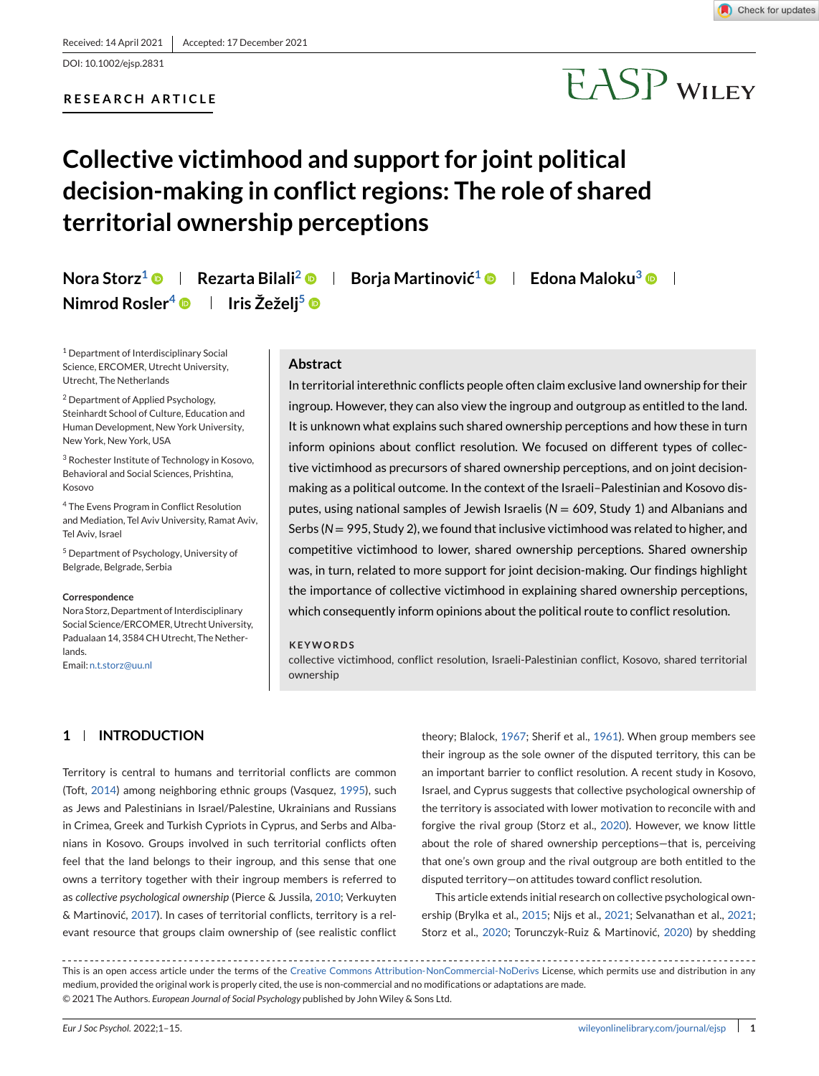### **RESEARCH ARTICLE**



# **EASP WILEY**

# **Collective victimhood and support for joint political decision-making in conflict regions: The role of shared territorial ownership perceptions**

**Nora Storz<sup>1</sup>**  $\bullet$  **| Rezarta Bilali<sup>2</sup>**  $\bullet$  **| Borja Martinović<sup>1</sup>**  $\bullet$  **| Edona Maloku<sup>3</sup>**  $\bullet$  **| Nimrod Rosler<sup>4</sup>**  $\bullet$  **| Iris Žeželj<sup>5</sup>**  $\bullet$ 

<sup>1</sup> Department of Interdisciplinary Social Science, ERCOMER, Utrecht University, Utrecht, The Netherlands

<sup>2</sup> Department of Applied Psychology, Steinhardt School of Culture, Education and Human Development, New York University, New York, New York, USA

<sup>3</sup> Rochester Institute of Technology in Kosovo, Behavioral and Social Sciences, Prishtina, Kosovo

<sup>4</sup> The Evens Program in Conflict Resolution and Mediation, Tel Aviv University, Ramat Aviv, Tel Aviv, Israel

<sup>5</sup> Department of Psychology, University of Belgrade, Belgrade, Serbia

#### **Correspondence**

Nora Storz, Department of Interdisciplinary Social Science/ERCOMER, Utrecht University, Padualaan 14, 3584 CH Utrecht, The Netherlands.

Email: [n.t.storz@uu.nl](mailto:n.t.storz@uu.nl)

#### **Abstract**

In territorial interethnic conflicts people often claim exclusive land ownership for their ingroup. However, they can also view the ingroup and outgroup as entitled to the land. It is unknown what explains such shared ownership perceptions and how these in turn inform opinions about conflict resolution. We focused on different types of collective victimhood as precursors of shared ownership perceptions, and on joint decisionmaking as a political outcome. In the context of the Israeli–Palestinian and Kosovo disputes, using national samples of Jewish Israelis (N = 609, Study 1) and Albanians and Serbs (N = 995, Study 2), we found that inclusive victimhood was related to higher, and competitive victimhood to lower, shared ownership perceptions. Shared ownership was, in turn, related to more support for joint decision-making. Our findings highlight the importance of collective victimhood in explaining shared ownership perceptions, which consequently inform opinions about the political route to conflict resolution.

#### **KEYWORDS**

collective victimhood, conflict resolution, Israeli-Palestinian conflict, Kosovo, shared territorial ownership

# **1 INTRODUCTION**

Territory is central to humans and territorial conflicts are common (Toft, [2014\)](#page-13-0) among neighboring ethnic groups (Vasquez, [1995\)](#page-14-0), such as Jews and Palestinians in Israel/Palestine, Ukrainians and Russians in Crimea, Greek and Turkish Cypriots in Cyprus, and Serbs and Albanians in Kosovo. Groups involved in such territorial conflicts often feel that the land belongs to their ingroup, and this sense that one owns a territory together with their ingroup members is referred to as *collective psychological ownership* (Pierce & Jussila, [2010;](#page-13-0) Verkuyten & Martinović, [2017\)](#page-14-0). In cases of territorial conflicts, territory is a relevant resource that groups claim ownership of (see realistic conflict

theory; Blalock, [1967;](#page-12-0) Sherif et al., [1961\)](#page-13-0). When group members see their ingroup as the sole owner of the disputed territory, this can be an important barrier to conflict resolution. A recent study in Kosovo, Israel, and Cyprus suggests that collective psychological ownership of the territory is associated with lower motivation to reconcile with and forgive the rival group (Storz et al., [2020\)](#page-13-0). However, we know little about the role of shared ownership perceptions—that is, perceiving that one's own group and the rival outgroup are both entitled to the disputed territory—on attitudes toward conflict resolution.

This article extends initial research on collective psychological ownership (Brylka et al., [2015;](#page-12-0) Nijs et al., [2021;](#page-13-0) Selvanathan et al., [2021;](#page-13-0) Storz et al., [2020;](#page-13-0) Torunczyk-Ruiz & Martinović, [2020\)](#page-13-0) by shedding

This is an open access article under the terms of the [Creative Commons Attribution-NonCommercial-NoDerivs](http://creativecommons.org/licenses/by-nc-nd/4.0/) License, which permits use and distribution in any medium, provided the original work is properly cited, the use is non-commercial and no modifications or adaptations are made. © 2021 The Authors. *European Journal of Social Psychology* published by John Wiley & Sons Ltd.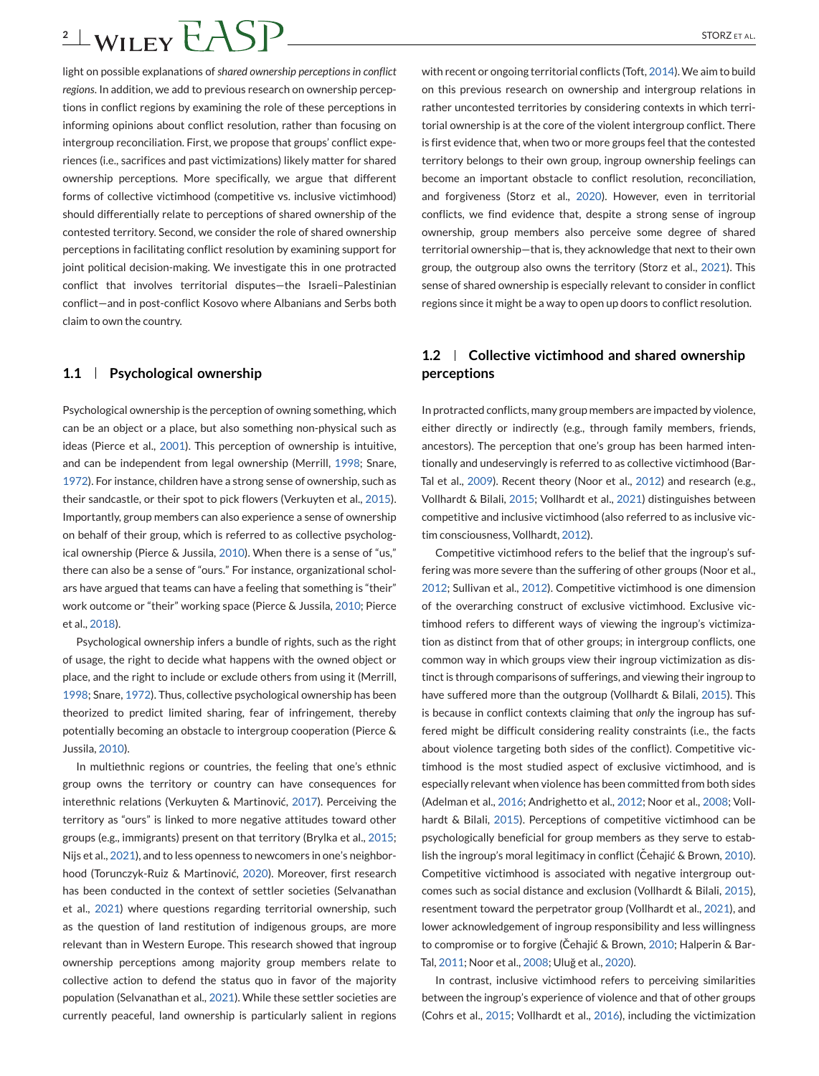# $2 \pm \text{WILEY}$  $\angle$ SP  $\frac{2}{\sqrt{2}}$

light on possible explanations of *shared ownership perceptions in conflict regions*. In addition, we add to previous research on ownership perceptions in conflict regions by examining the role of these perceptions in informing opinions about conflict resolution, rather than focusing on intergroup reconciliation. First, we propose that groups' conflict experiences (i.e., sacrifices and past victimizations) likely matter for shared ownership perceptions. More specifically, we argue that different forms of collective victimhood (competitive vs. inclusive victimhood) should differentially relate to perceptions of shared ownership of the contested territory. Second, we consider the role of shared ownership perceptions in facilitating conflict resolution by examining support for joint political decision-making. We investigate this in one protracted conflict that involves territorial disputes—the Israeli–Palestinian conflict—and in post-conflict Kosovo where Albanians and Serbs both claim to own the country.

# **1.1 Psychological ownership**

Psychological ownership is the perception of owning something, which can be an object or a place, but also something non-physical such as ideas (Pierce et al., [2001\)](#page-13-0). This perception of ownership is intuitive, and can be independent from legal ownership (Merrill, [1998;](#page-13-0) Snare, [1972\)](#page-13-0). For instance, children have a strong sense of ownership, such as their sandcastle, or their spot to pick flowers (Verkuyten et al., [2015\)](#page-14-0). Importantly, group members can also experience a sense of ownership on behalf of their group, which is referred to as collective psychological ownership (Pierce & Jussila, [2010\)](#page-13-0). When there is a sense of "us," there can also be a sense of "ours." For instance, organizational scholars have argued that teams can have a feeling that something is "their" work outcome or "their" working space (Pierce & Jussila, [2010;](#page-13-0) Pierce et al., [2018\)](#page-13-0).

Psychological ownership infers a bundle of rights, such as the right of usage, the right to decide what happens with the owned object or place, and the right to include or exclude others from using it (Merrill, [1998;](#page-13-0) Snare, [1972\)](#page-13-0). Thus, collective psychological ownership has been theorized to predict limited sharing, fear of infringement, thereby potentially becoming an obstacle to intergroup cooperation (Pierce & Jussila, [2010\)](#page-13-0).

In multiethnic regions or countries, the feeling that one's ethnic group owns the territory or country can have consequences for interethnic relations (Verkuyten & Martinović, [2017\)](#page-14-0). Perceiving the territory as "ours" is linked to more negative attitudes toward other groups (e.g., immigrants) present on that territory (Brylka et al., [2015;](#page-12-0) Nijs et al., [2021\)](#page-13-0), and to less openness to newcomers in one's neighborhood (Torunczyk-Ruiz & Martinović, [2020\)](#page-13-0). Moreover, first research has been conducted in the context of settler societies (Selvanathan et al., [2021\)](#page-13-0) where questions regarding territorial ownership, such as the question of land restitution of indigenous groups, are more relevant than in Western Europe. This research showed that ingroup ownership perceptions among majority group members relate to collective action to defend the status quo in favor of the majority population (Selvanathan et al., [2021\)](#page-13-0). While these settler societies are currently peaceful, land ownership is particularly salient in regions

with recent or ongoing territorial conflicts (Toft, [2014\)](#page-13-0). We aim to build on this previous research on ownership and intergroup relations in rather uncontested territories by considering contexts in which territorial ownership is at the core of the violent intergroup conflict. There is first evidence that, when two or more groups feel that the contested territory belongs to their own group, ingroup ownership feelings can become an important obstacle to conflict resolution, reconciliation, and forgiveness (Storz et al., [2020\)](#page-13-0). However, even in territorial conflicts, we find evidence that, despite a strong sense of ingroup ownership, group members also perceive some degree of shared territorial ownership—that is, they acknowledge that next to their own group, the outgroup also owns the territory (Storz et al., [2021\)](#page-13-0). This sense of shared ownership is especially relevant to consider in conflict regions since it might be a way to open up doors to conflict resolution.

# **1.2 Collective victimhood and shared ownership perceptions**

In protracted conflicts, many group members are impacted by violence, either directly or indirectly (e.g., through family members, friends, ancestors). The perception that one's group has been harmed intentionally and undeservingly is referred to as collective victimhood (Bar-Tal et al., [2009\)](#page-12-0). Recent theory (Noor et al., [2012\)](#page-13-0) and research (e.g., Vollhardt & Bilali, [2015;](#page-14-0) Vollhardt et al., [2021\)](#page-14-0) distinguishes between competitive and inclusive victimhood (also referred to as inclusive victim consciousness, Vollhardt, [2012\)](#page-14-0).

Competitive victimhood refers to the belief that the ingroup's suffering was more severe than the suffering of other groups (Noor et al., [2012;](#page-13-0) Sullivan et al., [2012\)](#page-13-0). Competitive victimhood is one dimension of the overarching construct of exclusive victimhood. Exclusive victimhood refers to different ways of viewing the ingroup's victimization as distinct from that of other groups; in intergroup conflicts, one common way in which groups view their ingroup victimization as distinct is through comparisons of sufferings, and viewing their ingroup to have suffered more than the outgroup (Vollhardt & Bilali, [2015\)](#page-14-0). This is because in conflict contexts claiming that *only* the ingroup has suffered might be difficult considering reality constraints (i.e., the facts about violence targeting both sides of the conflict). Competitive victimhood is the most studied aspect of exclusive victimhood, and is especially relevant when violence has been committed from both sides (Adelman et al., [2016;](#page-12-0) Andrighetto et al., [2012;](#page-12-0) Noor et al., [2008;](#page-13-0) Vollhardt & Bilali, [2015\)](#page-14-0). Perceptions of competitive victimhood can be psychologically beneficial for group members as they serve to estab-lish the ingroup's moral legitimacy in conflict (Cehajić & Brown, [2010\)](#page-12-0). Competitive victimhood is associated with negative intergroup outcomes such as social distance and exclusion (Vollhardt & Bilali, [2015\)](#page-14-0), resentment toward the perpetrator group (Vollhardt et al., [2021\)](#page-14-0), and lower acknowledgement of ingroup responsibility and less willingness to compromise or to forgive (Čehajić & Brown, [2010;](#page-12-0) Halperin & Bar-Tal, [2011;](#page-12-0) Noor et al., [2008;](#page-13-0) Uluğ et al., [2020\)](#page-13-0).

In contrast, inclusive victimhood refers to perceiving similarities between the ingroup's experience of violence and that of other groups (Cohrs et al., [2015;](#page-12-0) Vollhardt et al., [2016\)](#page-14-0), including the victimization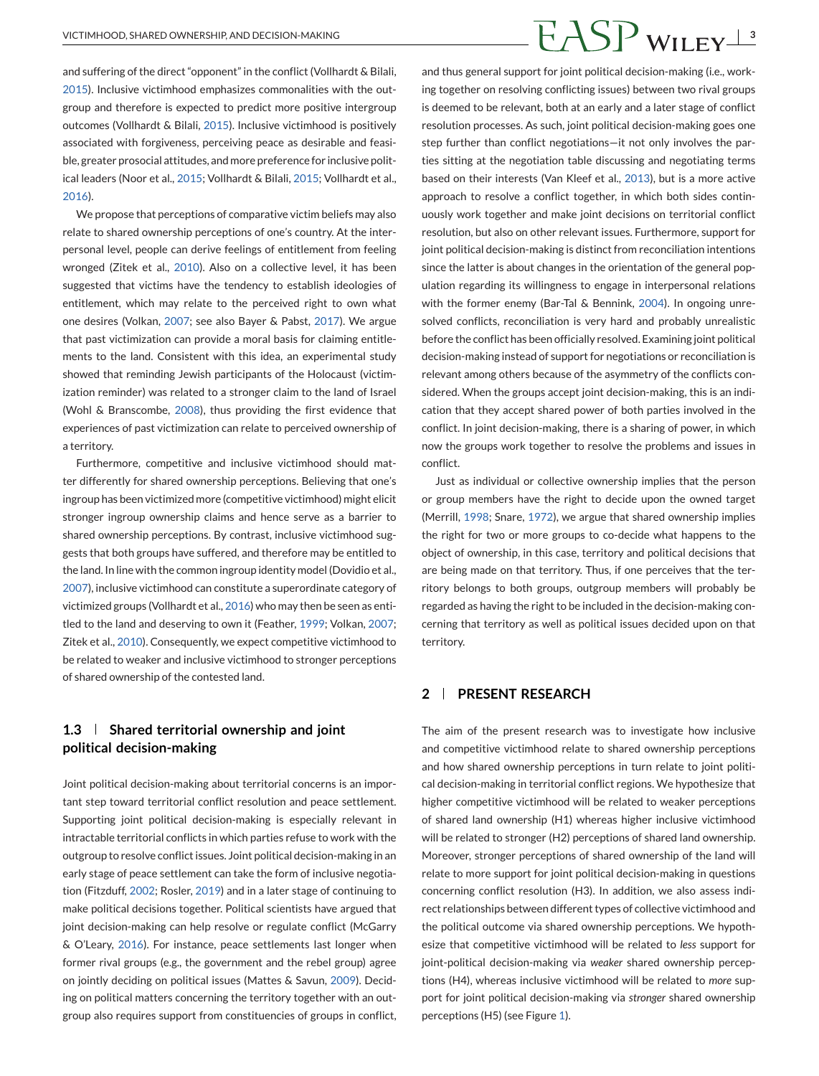# VICTIMHOOD, SHARED OWNERSHIP, AND DECISION-MAKING  $\overline{FASP}$  WII  $_{\rm FY}$ <sup>3</sup>

and suffering of the direct "opponent" in the conflict (Vollhardt & Bilali, [2015\)](#page-14-0). Inclusive victimhood emphasizes commonalities with the outgroup and therefore is expected to predict more positive intergroup outcomes (Vollhardt & Bilali, [2015\)](#page-14-0). Inclusive victimhood is positively associated with forgiveness, perceiving peace as desirable and feasible, greater prosocial attitudes, and more preference for inclusive political leaders (Noor et al., [2015;](#page-13-0) Vollhardt & Bilali, [2015;](#page-14-0) Vollhardt et al., [2016\)](#page-14-0).

We propose that perceptions of comparative victim beliefs may also relate to shared ownership perceptions of one's country. At the interpersonal level, people can derive feelings of entitlement from feeling wronged (Zitek et al., [2010\)](#page-14-0). Also on a collective level, it has been suggested that victims have the tendency to establish ideologies of entitlement, which may relate to the perceived right to own what one desires (Volkan, [2007;](#page-14-0) see also Bayer & Pabst, [2017\)](#page-12-0). We argue that past victimization can provide a moral basis for claiming entitlements to the land. Consistent with this idea, an experimental study showed that reminding Jewish participants of the Holocaust (victimization reminder) was related to a stronger claim to the land of Israel (Wohl & Branscombe, [2008\)](#page-14-0), thus providing the first evidence that experiences of past victimization can relate to perceived ownership of a territory.

Furthermore, competitive and inclusive victimhood should matter differently for shared ownership perceptions. Believing that one's ingroup has been victimized more (competitive victimhood) might elicit stronger ingroup ownership claims and hence serve as a barrier to shared ownership perceptions. By contrast, inclusive victimhood suggests that both groups have suffered, and therefore may be entitled to the land. In line with the common ingroup identity model (Dovidio et al., [2007\)](#page-12-0), inclusive victimhood can constitute a superordinate category of victimized groups (Vollhardt et al., [2016\)](#page-14-0) who may then be seen as entitled to the land and deserving to own it (Feather, [1999;](#page-12-0) Volkan, [2007;](#page-14-0) Zitek et al., [2010\)](#page-14-0). Consequently, we expect competitive victimhood to be related to weaker and inclusive victimhood to stronger perceptions of shared ownership of the contested land.

# **1.3 Shared territorial ownership and joint political decision-making**

Joint political decision-making about territorial concerns is an important step toward territorial conflict resolution and peace settlement. Supporting joint political decision-making is especially relevant in intractable territorial conflicts in which parties refuse to work with the outgroup to resolve conflict issues. Joint political decision-making in an early stage of peace settlement can take the form of inclusive negotiation (Fitzduff, [2002;](#page-12-0) Rosler, [2019\)](#page-13-0) and in a later stage of continuing to make political decisions together. Political scientists have argued that joint decision-making can help resolve or regulate conflict (McGarry & O'Leary, [2016\)](#page-13-0). For instance, peace settlements last longer when former rival groups (e.g., the government and the rebel group) agree on jointly deciding on political issues (Mattes & Savun, [2009\)](#page-13-0). Deciding on political matters concerning the territory together with an outgroup also requires support from constituencies of groups in conflict,

and thus general support for joint political decision-making (i.e., working together on resolving conflicting issues) between two rival groups is deemed to be relevant, both at an early and a later stage of conflict resolution processes. As such, joint political decision-making goes one step further than conflict negotiations—it not only involves the parties sitting at the negotiation table discussing and negotiating terms based on their interests (Van Kleef et al., [2013\)](#page-13-0), but is a more active approach to resolve a conflict together, in which both sides continuously work together and make joint decisions on territorial conflict resolution, but also on other relevant issues. Furthermore, support for joint political decision-making is distinct from reconciliation intentions since the latter is about changes in the orientation of the general population regarding its willingness to engage in interpersonal relations with the former enemy (Bar-Tal & Bennink, [2004\)](#page-12-0). In ongoing unresolved conflicts, reconciliation is very hard and probably unrealistic before the conflict has been officially resolved. Examining joint political decision-making instead of support for negotiations or reconciliation is relevant among others because of the asymmetry of the conflicts considered. When the groups accept joint decision-making, this is an indication that they accept shared power of both parties involved in the conflict. In joint decision-making, there is a sharing of power, in which now the groups work together to resolve the problems and issues in conflict.

Just as individual or collective ownership implies that the person or group members have the right to decide upon the owned target (Merrill, [1998;](#page-13-0) Snare, [1972\)](#page-13-0), we argue that shared ownership implies the right for two or more groups to co-decide what happens to the object of ownership, in this case, territory and political decisions that are being made on that territory. Thus, if one perceives that the territory belongs to both groups, outgroup members will probably be regarded as having the right to be included in the decision-making concerning that territory as well as political issues decided upon on that territory.

# **2 PRESENT RESEARCH**

The aim of the present research was to investigate how inclusive and competitive victimhood relate to shared ownership perceptions and how shared ownership perceptions in turn relate to joint political decision-making in territorial conflict regions. We hypothesize that higher competitive victimhood will be related to weaker perceptions of shared land ownership (H1) whereas higher inclusive victimhood will be related to stronger (H2) perceptions of shared land ownership. Moreover, stronger perceptions of shared ownership of the land will relate to more support for joint political decision-making in questions concerning conflict resolution (H3). In addition, we also assess indirect relationships between different types of collective victimhood and the political outcome via shared ownership perceptions. We hypothesize that competitive victimhood will be related to *less* support for joint-political decision-making via *weaker* shared ownership perceptions (H4), whereas inclusive victimhood will be related to *more* support for joint political decision-making via *stronger* shared ownership perceptions (H5) (see Figure [1\)](#page-3-0).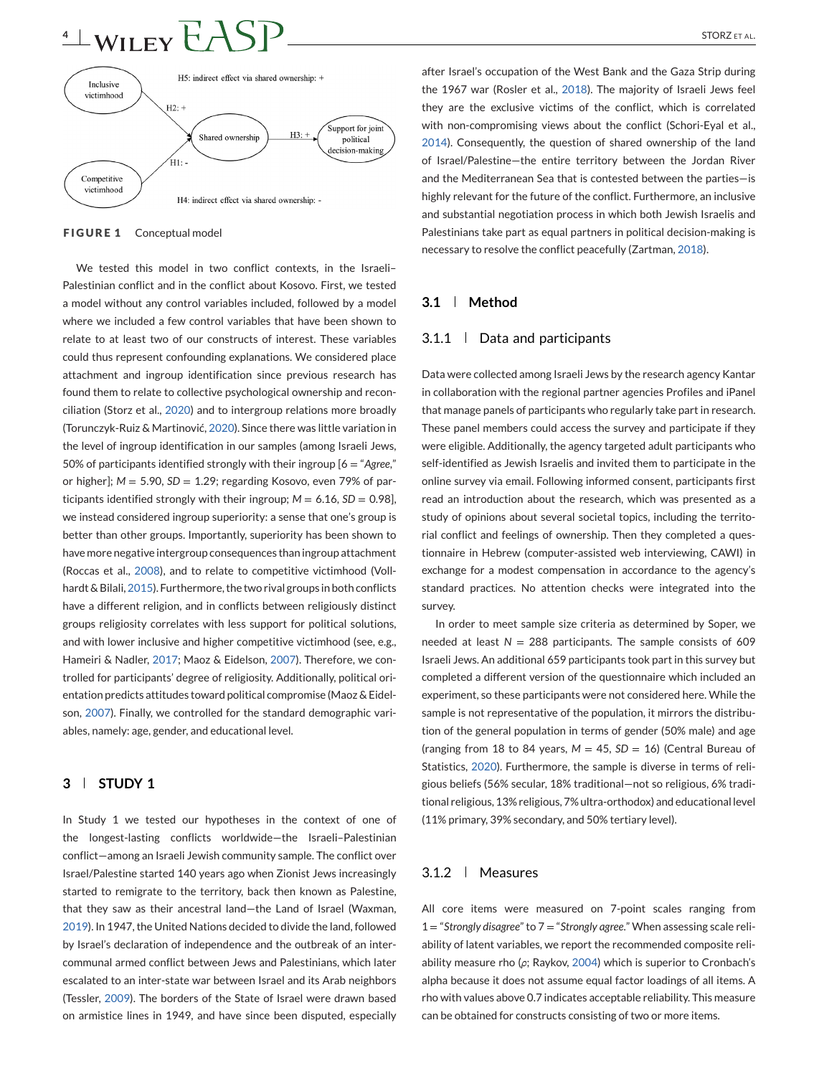# <span id="page-3-0"></span> $4 \pm \text{WILEY} EASP$  STORZETAL.



**FIGURE 1** Conceptual model

We tested this model in two conflict contexts, in the Israeli– Palestinian conflict and in the conflict about Kosovo. First, we tested a model without any control variables included, followed by a model where we included a few control variables that have been shown to relate to at least two of our constructs of interest. These variables could thus represent confounding explanations. We considered place attachment and ingroup identification since previous research has found them to relate to collective psychological ownership and reconciliation (Storz et al., [2020\)](#page-13-0) and to intergroup relations more broadly (Torunczyk-Ruiz & Martinović, [2020\)](#page-13-0). Since there was little variation in the level of ingroup identification in our samples (among Israeli Jews, 50% of participants identified strongly with their ingroup [6 = "*Agree*," or higher];  $M = 5.90$ ,  $SD = 1.29$ ; regarding Kosovo, even 79% of participants identified strongly with their ingroup;  $M = 6.16$ ,  $SD = 0.98$ ], we instead considered ingroup superiority: a sense that one's group is better than other groups. Importantly, superiority has been shown to have more negative intergroup consequences than ingroup attachment (Roccas et al., [2008\)](#page-13-0), and to relate to competitive victimhood (Vollhardt & Bilali, [2015\)](#page-14-0). Furthermore, the two rival groups in both conflicts have a different religion, and in conflicts between religiously distinct groups religiosity correlates with less support for political solutions, and with lower inclusive and higher competitive victimhood (see, e.g., Hameiri & Nadler, [2017;](#page-12-0) Maoz & Eidelson, [2007\)](#page-13-0). Therefore, we controlled for participants' degree of religiosity. Additionally, political orientation predicts attitudes toward political compromise (Maoz & Eidelson, [2007\)](#page-13-0). Finally, we controlled for the standard demographic variables, namely: age, gender, and educational level.

# **3 STUDY 1**

In Study 1 we tested our hypotheses in the context of one of the longest-lasting conflicts worldwide—the Israeli–Palestinian conflict—among an Israeli Jewish community sample. The conflict over Israel/Palestine started 140 years ago when Zionist Jews increasingly started to remigrate to the territory, back then known as Palestine, that they saw as their ancestral land—the Land of Israel (Waxman, [2019\)](#page-14-0). In 1947, the United Nations decided to divide the land, followed by Israel's declaration of independence and the outbreak of an intercommunal armed conflict between Jews and Palestinians, which later escalated to an inter-state war between Israel and its Arab neighbors (Tessler, [2009\)](#page-13-0). The borders of the State of Israel were drawn based on armistice lines in 1949, and have since been disputed, especially

after Israel's occupation of the West Bank and the Gaza Strip during the 1967 war (Rosler et al., [2018\)](#page-13-0). The majority of Israeli Jews feel they are the exclusive victims of the conflict, which is correlated with non-compromising views about the conflict (Schori-Eyal et al., [2014\)](#page-13-0). Consequently, the question of shared ownership of the land of Israel/Palestine—the entire territory between the Jordan River and the Mediterranean Sea that is contested between the parties—is highly relevant for the future of the conflict. Furthermore, an inclusive and substantial negotiation process in which both Jewish Israelis and Palestinians take part as equal partners in political decision-making is necessary to resolve the conflict peacefully (Zartman, [2018\)](#page-14-0).

### **3.1 Method**

# 3.1.1 Data and participants

Data were collected among Israeli Jews by the research agency Kantar in collaboration with the regional partner agencies Profiles and iPanel that manage panels of participants who regularly take part in research. These panel members could access the survey and participate if they were eligible. Additionally, the agency targeted adult participants who self-identified as Jewish Israelis and invited them to participate in the online survey via email. Following informed consent, participants first read an introduction about the research, which was presented as a study of opinions about several societal topics, including the territorial conflict and feelings of ownership. Then they completed a questionnaire in Hebrew (computer-assisted web interviewing, CAWI) in exchange for a modest compensation in accordance to the agency's standard practices. No attention checks were integrated into the survey.

In order to meet sample size criteria as determined by Soper, we needed at least  $N = 288$  participants. The sample consists of 609 Israeli Jews. An additional 659 participants took part in this survey but completed a different version of the questionnaire which included an experiment, so these participants were not considered here. While the sample is not representative of the population, it mirrors the distribution of the general population in terms of gender (50% male) and age (ranging from 18 to 84 years,  $M = 45$ ,  $SD = 16$ ) (Central Bureau of Statistics, [2020\)](#page-12-0). Furthermore, the sample is diverse in terms of religious beliefs (56% secular, 18% traditional—not so religious, 6% traditional religious, 13% religious, 7% ultra-orthodox) and educational level (11% primary, 39% secondary, and 50% tertiary level).

### $3.1.2$  Measures

All core items were measured on 7-point scales ranging from 1 = "*Strongly disagree*" to 7 = "*Strongly agree*." When assessing scale reliability of latent variables, we report the recommended composite reliability measure rho (*ρ*; Raykov, [2004\)](#page-13-0) which is superior to Cronbach's alpha because it does not assume equal factor loadings of all items. A rho with values above 0.7 indicates acceptable reliability. This measure can be obtained for constructs consisting of two or more items.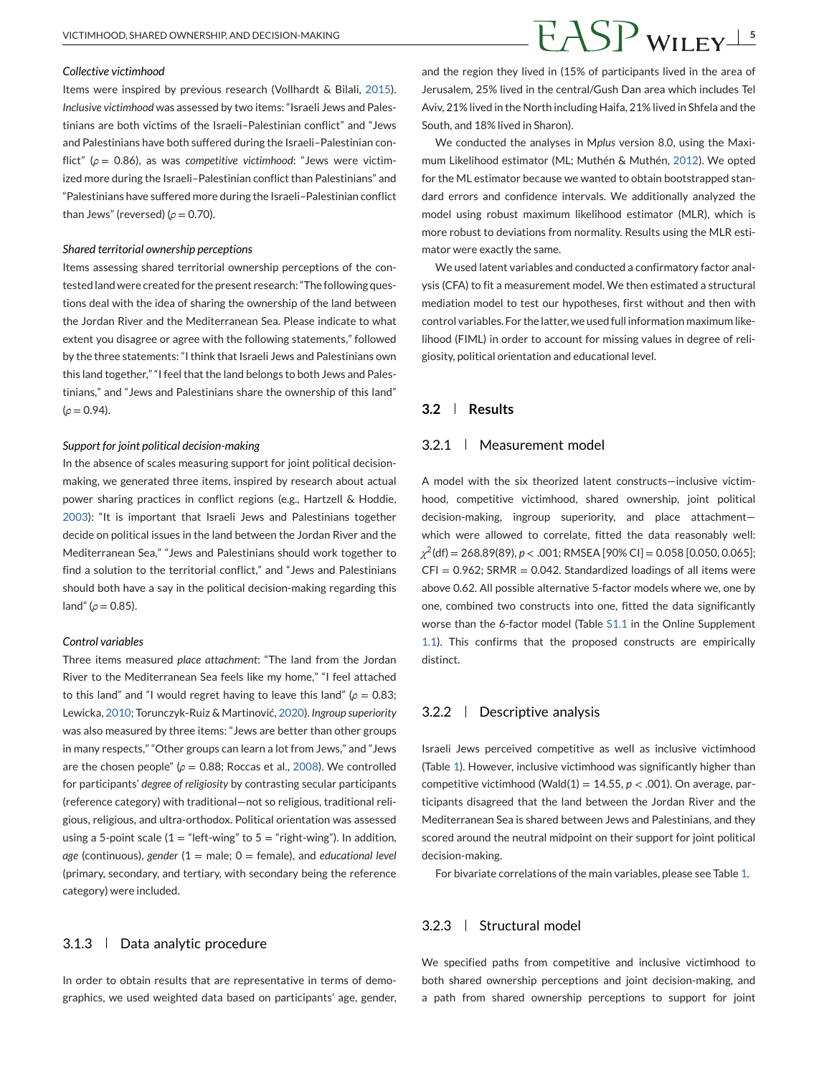#### *Collective victimhood*

Items were inspired by previous research (Vollhardt & Bilali, [2015\)](#page-14-0). *Inclusive victimhood* was assessed by two items: "Israeli Jews and Palestinians are both victims of the Israeli–Palestinian conflict" and "Jews and Palestinians have both suffered during the Israeli–Palestinian conflict" (*ρ* = 0.86), as was *competitive victimhood*: "Jews were victimized more during the Israeli–Palestinian conflict than Palestinians" and "Palestinians have suffered more during the Israeli–Palestinian conflict than Jews" (reversed) ( $ρ$  = 0.70).

#### *Shared territorial ownership perceptions*

Items assessing shared territorial ownership perceptions of the contested land were created for the present research: "The following questions deal with the idea of sharing the ownership of the land between the Jordan River and the Mediterranean Sea. Please indicate to what extent you disagree or agree with the following statements," followed by the three statements: "I think that Israeli Jews and Palestinians own this land together," "I feel that the land belongs to both Jews and Palestinians," and "Jews and Palestinians share the ownership of this land" (*ρ* = 0.94).

#### *Support for joint political decision-making*

In the absence of scales measuring support for joint political decisionmaking, we generated three items, inspired by research about actual power sharing practices in conflict regions (e.g., Hartzell & Hoddie, [2003\)](#page-12-0): "It is important that Israeli Jews and Palestinians together decide on political issues in the land between the Jordan River and the Mediterranean Sea," "Jews and Palestinians should work together to find a solution to the territorial conflict," and "Jews and Palestinians should both have a say in the political decision-making regarding this land" ( $ρ$  = 0.85).

#### *Control variables*

Three items measured *place attachment*: "The land from the Jordan River to the Mediterranean Sea feels like my home," "I feel attached to this land" and "I would regret having to leave this land" ( $ρ = 0.83$ ; Lewicka, [2010;](#page-13-0) Torunczyk-Ruiz & Martinović, [2020\)](#page-13-0). *Ingroup superiority* was also measured by three items: "Jews are better than other groups in many respects," "Other groups can learn a lot from Jews," and "Jews are the chosen people" ( $ρ = 0.88$ ; Roccas et al., [2008\)](#page-13-0). We controlled for participants' *degree of religiosity* by contrasting secular participants (reference category) with traditional—not so religious, traditional religious, religious, and ultra-orthodox. Political orientation was assessed using a 5-point scale  $(1 = "left\text{-wing" to } 5 = "right\text{-wing").}$  In addition, *age* (continuous), *gender* (1 = male; 0 = female), and *educational level* (primary, secondary, and tertiary, with secondary being the reference category) were included.

#### 3.1.3 | Data analytic procedure

In order to obtain results that are representative in terms of demographics, we used weighted data based on participants' age, gender,

# VICTIMHOOD, SHARED OWNERSHIP, AND DECISION-MAKING  $\overline{FASP}$  WII  $_{\rm FY}$ <sup>5</sup>

and the region they lived in (15% of participants lived in the area of Jerusalem, 25% lived in the central/Gush Dan area which includes Tel Aviv, 21% lived in the North including Haifa, 21% lived in Shfela and the South, and 18% lived in Sharon).

We conducted the analyses in M*plus* version 8.0, using the Maximum Likelihood estimator (ML; Muthén & Muthén, [2012\)](#page-13-0). We opted for the ML estimator because we wanted to obtain bootstrapped standard errors and confidence intervals. We additionally analyzed the model using robust maximum likelihood estimator (MLR), which is more robust to deviations from normality. Results using the MLR estimator were exactly the same.

We used latent variables and conducted a confirmatory factor analysis (CFA) to fit a measurement model. We then estimated a structural mediation model to test our hypotheses, first without and then with control variables. For the latter, we used full information maximum likelihood (FIML) in order to account for missing values in degree of religiosity, political orientation and educational level.

### **3.2 Results**

#### 3.2.1 Measurement model

A model with the six theorized latent constructs—inclusive victimhood, competitive victimhood, shared ownership, joint political decision-making, ingroup superiority, and place attachment which were allowed to correlate, fitted the data reasonably well: *χ*2(df) = 268.89(89), *p* < .001; RMSEA [90% CI] = 0.058 [0.050, 0.065];  $CFI = 0.962$ ; SRMR = 0.042. Standardized loadings of all items were above 0.62. All possible alternative 5-factor models where we, one by one, combined two constructs into one, fitted the data significantly worse than the 6-factor model (Table S1.1 in the Online Supplement 1.1). This confirms that the proposed constructs are empirically distinct.

#### 3.2.2 Descriptive analysis

Israeli Jews perceived competitive as well as inclusive victimhood (Table [1\)](#page-5-0). However, inclusive victimhood was significantly higher than competitive victimhood (Wald(1) = 14.55, *p* < .001). On average, participants disagreed that the land between the Jordan River and the Mediterranean Sea is shared between Jews and Palestinians, and they scored around the neutral midpoint on their support for joint political decision-making.

For bivariate correlations of the main variables, please see Table [1.](#page-5-0)

### 3.2.3 | Structural model

We specified paths from competitive and inclusive victimhood to both shared ownership perceptions and joint decision-making, and a path from shared ownership perceptions to support for joint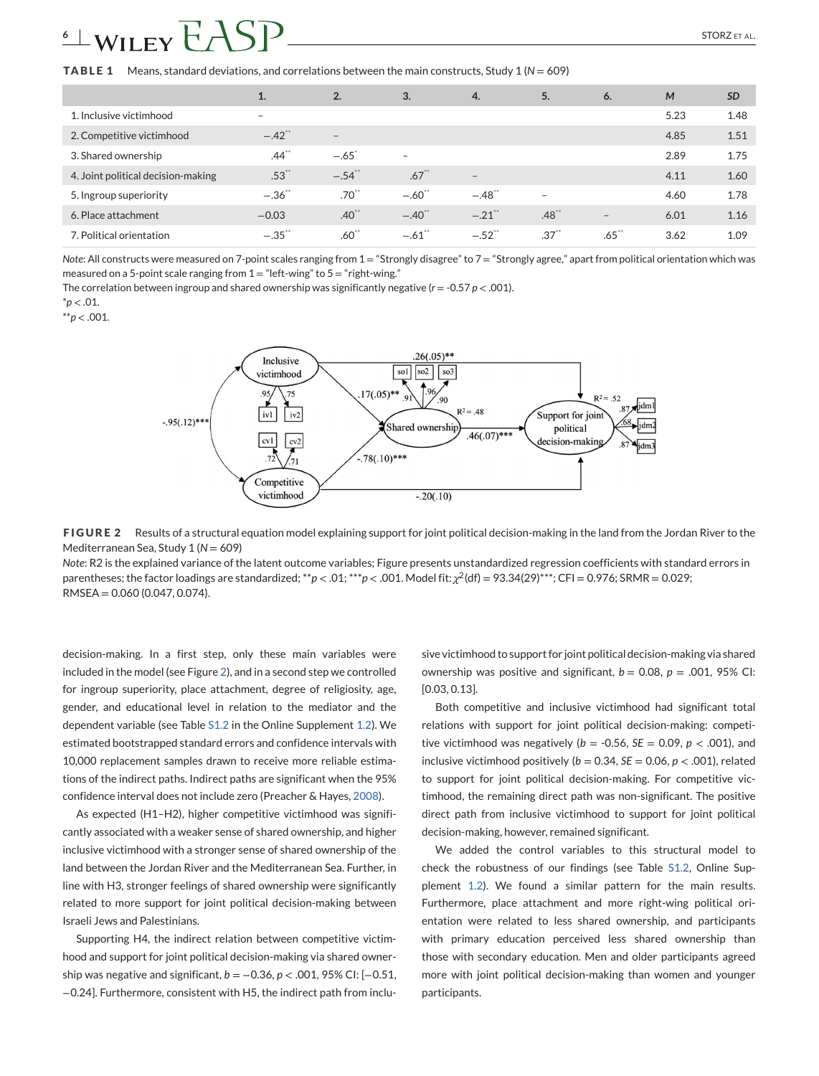# <span id="page-5-0"></span> $\frac{6 \pm WILEY}{1.5}$   $\frac{1.5}{1.5}$   $\frac{1.5}{1.5}$   $\frac{1.5}{1.5}$   $\frac{1.5}{1.5}$   $\frac{1.5}{1.5}$   $\frac{1.5}{1.5}$   $\frac{1.5}{1.5}$   $\frac{1.5}{1.5}$   $\frac{1.5}{1.5}$   $\frac{1.5}{1.5}$   $\frac{1.5}{1.5}$   $\frac{1.5}{1.5}$   $\frac{1.5}{1.5}$   $\frac{1.5}{1.5}$   $\frac{1.5$

**TABLE 1** Means, standard deviations, and correlations between the main constructs, Study 1 (*N* = 609)

|                                    | 1.                   | 2.                  | 3.                       | 4.                       | 5.                  | 6.                | M    | <b>SD</b> |
|------------------------------------|----------------------|---------------------|--------------------------|--------------------------|---------------------|-------------------|------|-----------|
| 1. Inclusive victimhood            | $\sim$               |                     |                          |                          |                     |                   | 5.23 | 1.48      |
| 2. Competitive victimhood          | $-.42$ <sup>**</sup> | $\qquad \qquad -$   |                          |                          |                     |                   | 4.85 | 1.51      |
| 3. Shared ownership                | $.44$ <sup>**</sup>  | $-.65"$             | $\overline{\phantom{0}}$ |                          |                     |                   | 2.89 | 1.75      |
| 4. Joint political decision-making | .53"                 | $-.54$ <sup>*</sup> | .67                      | $\overline{\phantom{a}}$ |                     |                   | 4.11 | 1.60      |
| 5. Ingroup superiority             | $-.36$ <sup>**</sup> | $.70^{**}$          | $-.60$ <sup>**</sup>     | $-.48$ <sup>**</sup>     | -                   |                   | 4.60 | 1.78      |
| 6. Place attachment                | $-0.03$              | $.40^{**}$          | $-.40$ <sup>**</sup>     | $-.21$ <sup>**</sup>     | $.48$ <sup>**</sup> | $\qquad \qquad -$ | 6.01 | 1.16      |
| 7. Political orientation           | $-.35$               | $.60^{**}$          | $-.61$ <sup>**</sup>     | $-.52$ <sup>**</sup>     | $.37^{**}$          | $.65**$           | 3.62 | 1.09      |

*Note*: All constructs were measured on 7-point scales ranging from 1 = "Strongly disagree" to 7 = "Strongly agree," apart from political orientation which was measured on a 5-point scale ranging from  $1 =$  "left-wing" to  $5 =$  "right-wing."

The correlation between ingroup and shared ownership was significantly negative ( $r = -0.57$   $p < .001$ ).

 $*$ *p* < .01.

\*\**p* < .001.



**FIGURE 2** Results of a structural equation model explaining support for joint political decision-making in the land from the Jordan River to the Mediterranean Sea, Study 1 (*N* = 609)

*Note*: R2 is the explained variance of the latent outcome variables; Figure presents unstandardized regression coefficients with standard errors in parentheses; the factor loadings are standardized; \*\**p* < .01; \*\*\**p* < .001. Model fit: *χ*2(df) = 93.34(29)\*\*\*; CFI = 0.976; SRMR = 0.029; RMSEA = 0.060 (0.047, 0.074).

decision-making. In a first step, only these main variables were included in the model (see Figure 2), and in a second step we controlled for ingroup superiority, place attachment, degree of religiosity, age, gender, and educational level in relation to the mediator and the dependent variable (see Table S1.2 in the Online Supplement 1.2). We estimated bootstrapped standard errors and confidence intervals with 10,000 replacement samples drawn to receive more reliable estimations of the indirect paths. Indirect paths are significant when the 95% confidence interval does not include zero (Preacher & Hayes, [2008\)](#page-13-0).

As expected (H1–H2), higher competitive victimhood was significantly associated with a weaker sense of shared ownership, and higher inclusive victimhood with a stronger sense of shared ownership of the land between the Jordan River and the Mediterranean Sea. Further, in line with H3, stronger feelings of shared ownership were significantly related to more support for joint political decision-making between Israeli Jews and Palestinians.

Supporting H4, the indirect relation between competitive victimhood and support for joint political decision-making via shared ownership was negative and significant, *b* = −0.36, *p* < .001, 95% CI: [−0.51, −0.24]. Furthermore, consistent with H5, the indirect path from inclu-

sive victimhood to support for joint political decision-making via shared ownership was positive and significant,  $b = 0.08$ ,  $p = .001$ , 95% CI: [0.03, 0.13].

Both competitive and inclusive victimhood had significant total relations with support for joint political decision-making: competitive victimhood was negatively ( $b = -0.56$ ,  $SE = 0.09$ ,  $p < .001$ ), and inclusive victimhood positively ( $b = 0.34$ ,  $SE = 0.06$ ,  $p < .001$ ), related to support for joint political decision-making. For competitive victimhood, the remaining direct path was non-significant. The positive direct path from inclusive victimhood to support for joint political decision-making, however, remained significant.

We added the control variables to this structural model to check the robustness of our findings (see Table S1.2, Online Supplement 1.2). We found a similar pattern for the main results. Furthermore, place attachment and more right-wing political orientation were related to less shared ownership, and participants with primary education perceived less shared ownership than those with secondary education. Men and older participants agreed more with joint political decision-making than women and younger participants.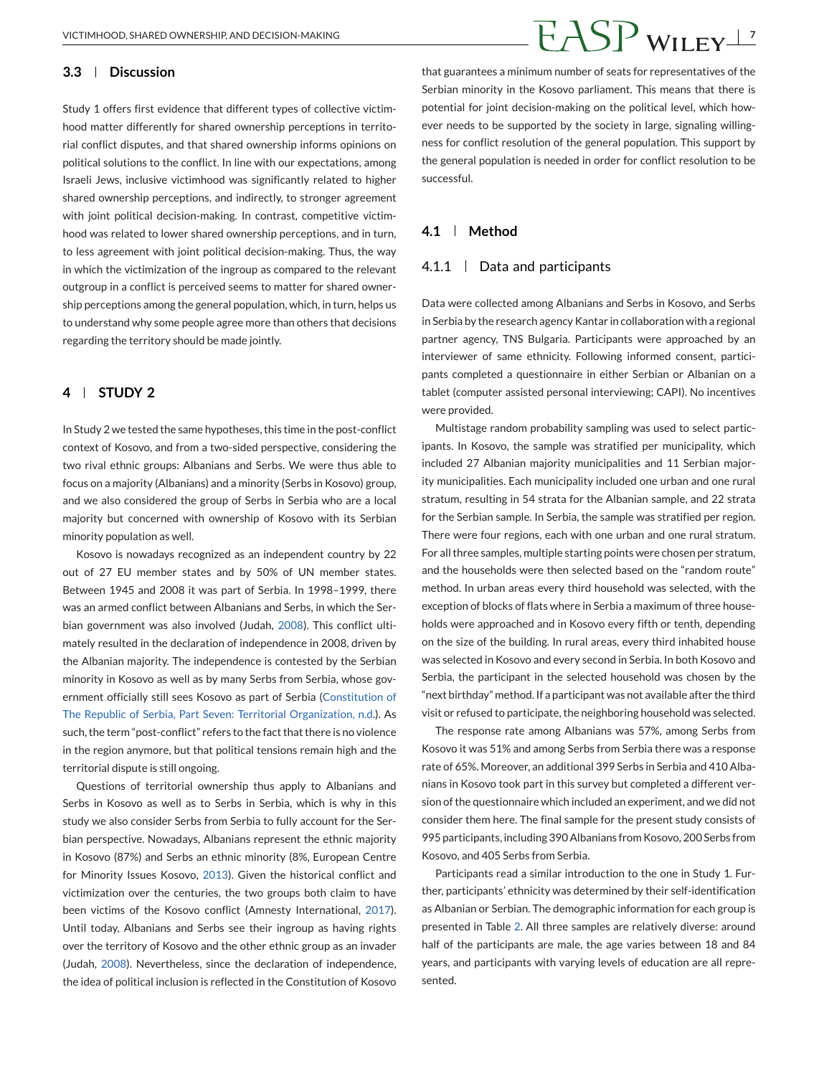# VICTIMHOOD, SHARED OWNERSHIP, AND DECISION-MAKING **7**

### **3.3 Discussion**

Study 1 offers first evidence that different types of collective victimhood matter differently for shared ownership perceptions in territorial conflict disputes, and that shared ownership informs opinions on political solutions to the conflict. In line with our expectations, among Israeli Jews, inclusive victimhood was significantly related to higher shared ownership perceptions, and indirectly, to stronger agreement with joint political decision-making. In contrast, competitive victimhood was related to lower shared ownership perceptions, and in turn, to less agreement with joint political decision-making. Thus, the way in which the victimization of the ingroup as compared to the relevant outgroup in a conflict is perceived seems to matter for shared ownership perceptions among the general population, which, in turn, helps us to understand why some people agree more than others that decisions regarding the territory should be made jointly.

# **4 STUDY 2**

In Study 2 we tested the same hypotheses, this time in the post-conflict context of Kosovo, and from a two-sided perspective, considering the two rival ethnic groups: Albanians and Serbs. We were thus able to focus on a majority (Albanians) and a minority (Serbs in Kosovo) group, and we also considered the group of Serbs in Serbia who are a local majority but concerned with ownership of Kosovo with its Serbian minority population as well.

Kosovo is nowadays recognized as an independent country by 22 out of 27 EU member states and by 50% of UN member states. Between 1945 and 2008 it was part of Serbia. In 1998–1999, there was an armed conflict between Albanians and Serbs, in which the Serbian government was also involved (Judah, [2008\)](#page-12-0). This conflict ultimately resulted in the declaration of independence in 2008, driven by the Albanian majority. The independence is contested by the Serbian minority in Kosovo as well as by many Serbs from Serbia, whose government officially still sees Kosovo as part of Serbia [\(Constitution of](#page-12-0) [The Republic of Serbia, Part Seven: Territorial Organization, n.d.](#page-12-0)). As such, the term "post-conflict" refers to the fact that there is no violence in the region anymore, but that political tensions remain high and the territorial dispute is still ongoing.

Questions of territorial ownership thus apply to Albanians and Serbs in Kosovo as well as to Serbs in Serbia, which is why in this study we also consider Serbs from Serbia to fully account for the Serbian perspective. Nowadays, Albanians represent the ethnic majority in Kosovo (87%) and Serbs an ethnic minority (8%, European Centre for Minority Issues Kosovo, [2013\)](#page-12-0). Given the historical conflict and victimization over the centuries, the two groups both claim to have been victims of the Kosovo conflict (Amnesty International, [2017\)](#page-12-0). Until today, Albanians and Serbs see their ingroup as having rights over the territory of Kosovo and the other ethnic group as an invader (Judah, [2008\)](#page-12-0). Nevertheless, since the declaration of independence, the idea of political inclusion is reflected in the Constitution of Kosovo

that guarantees a minimum number of seats for representatives of the Serbian minority in the Kosovo parliament. This means that there is potential for joint decision-making on the political level, which however needs to be supported by the society in large, signaling willingness for conflict resolution of the general population. This support by the general population is needed in order for conflict resolution to be successful.

### **4.1 Method**

#### 4.1.1 Data and participants

Data were collected among Albanians and Serbs in Kosovo, and Serbs in Serbia by the research agency Kantar in collaboration with a regional partner agency, TNS Bulgaria. Participants were approached by an interviewer of same ethnicity. Following informed consent, participants completed a questionnaire in either Serbian or Albanian on a tablet (computer assisted personal interviewing; CAPI). No incentives were provided.

Multistage random probability sampling was used to select participants. In Kosovo, the sample was stratified per municipality, which included 27 Albanian majority municipalities and 11 Serbian majority municipalities. Each municipality included one urban and one rural stratum, resulting in 54 strata for the Albanian sample, and 22 strata for the Serbian sample. In Serbia, the sample was stratified per region. There were four regions, each with one urban and one rural stratum. For all three samples, multiple starting points were chosen per stratum, and the households were then selected based on the "random route" method. In urban areas every third household was selected, with the exception of blocks of flats where in Serbia a maximum of three households were approached and in Kosovo every fifth or tenth, depending on the size of the building. In rural areas, every third inhabited house was selected in Kosovo and every second in Serbia. In both Kosovo and Serbia, the participant in the selected household was chosen by the "next birthday" method. If a participant was not available after the third visit or refused to participate, the neighboring household was selected.

The response rate among Albanians was 57%, among Serbs from Kosovo it was 51% and among Serbs from Serbia there was a response rate of 65%. Moreover, an additional 399 Serbs in Serbia and 410 Albanians in Kosovo took part in this survey but completed a different version of the questionnaire which included an experiment, and we did not consider them here. The final sample for the present study consists of 995 participants, including 390 Albanians from Kosovo, 200 Serbs from Kosovo, and 405 Serbs from Serbia.

Participants read a similar introduction to the one in Study 1. Further, participants' ethnicity was determined by their self-identification as Albanian or Serbian. The demographic information for each group is presented in Table [2.](#page-7-0) All three samples are relatively diverse: around half of the participants are male, the age varies between 18 and 84 years, and participants with varying levels of education are all represented.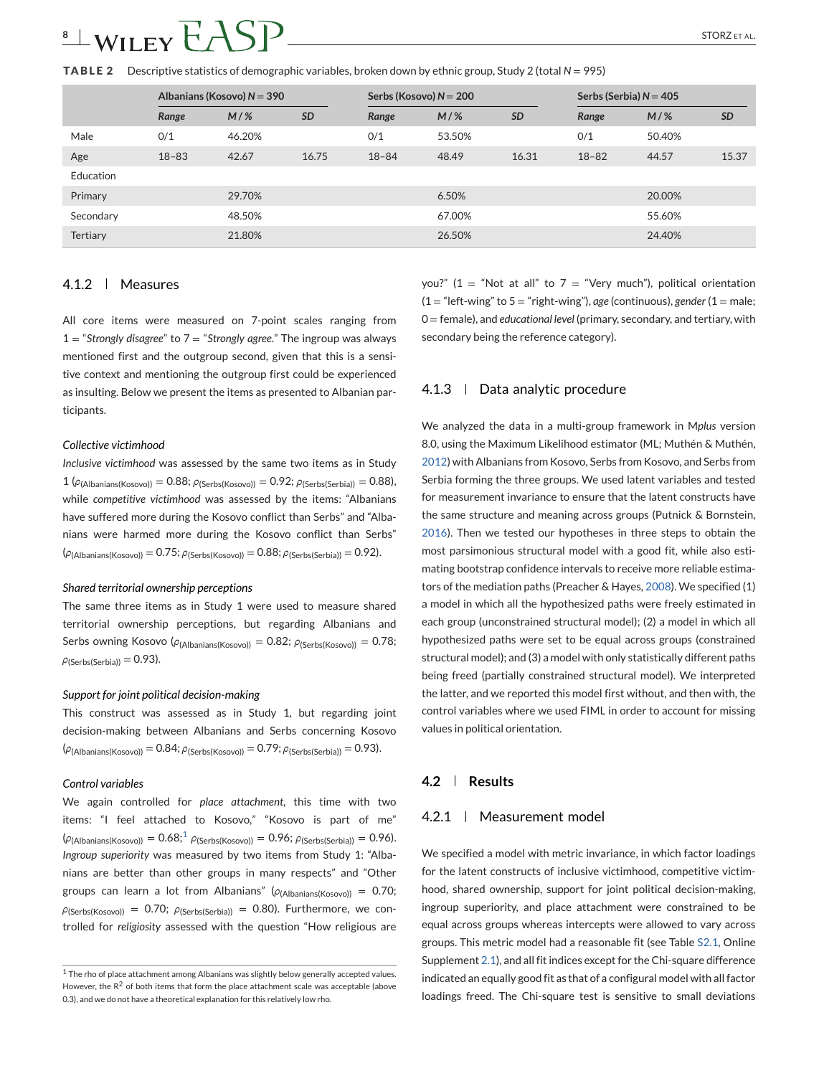# <span id="page-7-0"></span> $8 \pm \text{WILEY}$  $\bigcup$  $S$  $P$   $\longrightarrow$   $STORZ$  ETAL.

**TABLE 2** Descriptive statistics of demographic variables, broken down by ethnic group, Study 2 (total *N* = 995)

|                 | Albanians (Kosovo) $N = 390$ |        |           | Serbs (Kosovo) $N = 200$ |        | Serbs (Serbia) $N = 405$ |           |        |           |
|-----------------|------------------------------|--------|-----------|--------------------------|--------|--------------------------|-----------|--------|-----------|
|                 | Range                        | $M/$ % | <b>SD</b> | Range                    | $M/\%$ | <b>SD</b>                | Range     | $M/\%$ | <b>SD</b> |
| Male            | 0/1                          | 46.20% |           | 0/1                      | 53.50% |                          | 0/1       | 50.40% |           |
| Age             | $18 - 83$                    | 42.67  | 16.75     | $18 - 84$                | 48.49  | 16.31                    | $18 - 82$ | 44.57  | 15.37     |
| Education       |                              |        |           |                          |        |                          |           |        |           |
| Primary         |                              | 29.70% |           |                          | 6.50%  |                          |           | 20.00% |           |
| Secondary       |                              | 48.50% |           |                          | 67.00% |                          |           | 55.60% |           |
| <b>Tertiary</b> |                              | 21.80% |           |                          | 26.50% |                          |           | 24.40% |           |

# 4.1.2 Measures

All core items were measured on 7-point scales ranging from 1 = "*Strongly disagree*" to 7 = "*Strongly agree*." The ingroup was always mentioned first and the outgroup second, given that this is a sensitive context and mentioning the outgroup first could be experienced as insulting. Below we present the items as presented to Albanian participants.

#### *Collective victimhood*

*Inclusive victimhood* was assessed by the same two items as in Study 1 ( $\rho$ <sub>(Albanians(Kosovo))</sub> = 0.88;  $\rho$ <sub>(Serbs</sub>(Kosovo)) = 0.92;  $\rho$ <sub>(Serbs</sub>(Serbia)) = 0.88), while *competitive victimhood* was assessed by the items: "Albanians have suffered more during the Kosovo conflict than Serbs" and "Albanians were harmed more during the Kosovo conflict than Serbs" (*ρ*(Albanians(Kosovo)) = 0.75; *ρ*(Serbs(Kosovo)) = 0.88; *ρ*(Serbs(Serbia)) = 0.92).

#### *Shared territorial ownership perceptions*

The same three items as in Study 1 were used to measure shared territorial ownership perceptions, but regarding Albanians and Serbs owning Kosovo ( $ρ$ <sub>(Albanians</sub>(Kosovo)) = 0.82;  $ρ$ (Serbs(Kosovo)) = 0.78;  $\rho$ (Serbs(Serbia)) = 0.93).

#### *Support for joint political decision-making*

This construct was assessed as in Study 1, but regarding joint decision-making between Albanians and Serbs concerning Kosovo (*ρ*(Albanians(Kosovo)) = 0.84; *ρ*(Serbs(Kosovo)) = 0.79; *ρ*(Serbs(Serbia)) = 0.93).

#### *Control variables*

We again controlled for *place attachment*, this time with two items: "I feel attached to Kosovo," "Kosovo is part of me" (*ρ*(Albanians(Kosovo)) = 0.68;1 *ρ*(Serbs(Kosovo)) = 0.96; *ρ*(Serbs(Serbia)) = 0.96). *Ingroup superiority* was measured by two items from Study 1: "Albanians are better than other groups in many respects" and "Other groups can learn a lot from Albanians" (*ρ*(Albanians(Kosovo)) = 0.70;  $\rho$ (Serbs(Kosovo)) = 0.70;  $\rho$ (Serbs(Serbia)) = 0.80). Furthermore, we controlled for *religiosity* assessed with the question "How religious are you?" (1 = "Not at all" to 7 = "Very much"), political orientation  $(1 = "left\{-wing" to 5 = "right\}-wing")$ , *age* (continuous), *gender*  $(1 = male;$ 0 = female), and *educational level* (primary, secondary, and tertiary, with secondary being the reference category).

#### $4.1.3$  Data analytic procedure

We analyzed the data in a multi-group framework in M*plus* version 8.0, using the Maximum Likelihood estimator (ML; Muthén & Muthén, [2012\)](#page-13-0) with Albanians from Kosovo, Serbs from Kosovo, and Serbs from Serbia forming the three groups. We used latent variables and tested for measurement invariance to ensure that the latent constructs have the same structure and meaning across groups (Putnick & Bornstein, [2016\)](#page-13-0). Then we tested our hypotheses in three steps to obtain the most parsimonious structural model with a good fit, while also estimating bootstrap confidence intervals to receive more reliable estimators of the mediation paths (Preacher & Hayes, [2008\)](#page-13-0). We specified (1) a model in which all the hypothesized paths were freely estimated in each group (unconstrained structural model); (2) a model in which all hypothesized paths were set to be equal across groups (constrained structural model); and (3) a model with only statistically different paths being freed (partially constrained structural model). We interpreted the latter, and we reported this model first without, and then with, the control variables where we used FIML in order to account for missing values in political orientation.

### **4.2 Results**

#### 4.2.1 Measurement model

We specified a model with metric invariance, in which factor loadings for the latent constructs of inclusive victimhood, competitive victimhood, shared ownership, support for joint political decision-making, ingroup superiority, and place attachment were constrained to be equal across groups whereas intercepts were allowed to vary across groups. This metric model had a reasonable fit (see Table S2.1, Online Supplement 2.1), and all fit indices except for the Chi-square difference indicated an equally good fit as that of a configural model with all factor loadings freed. The Chi-square test is sensitive to small deviations

 $1$  The rho of place attachment among Albanians was slightly below generally accepted values. However, the  $R^2$  of both items that form the place attachment scale was acceptable (above 0.3), and we do not have a theoretical explanation for this relatively low rho.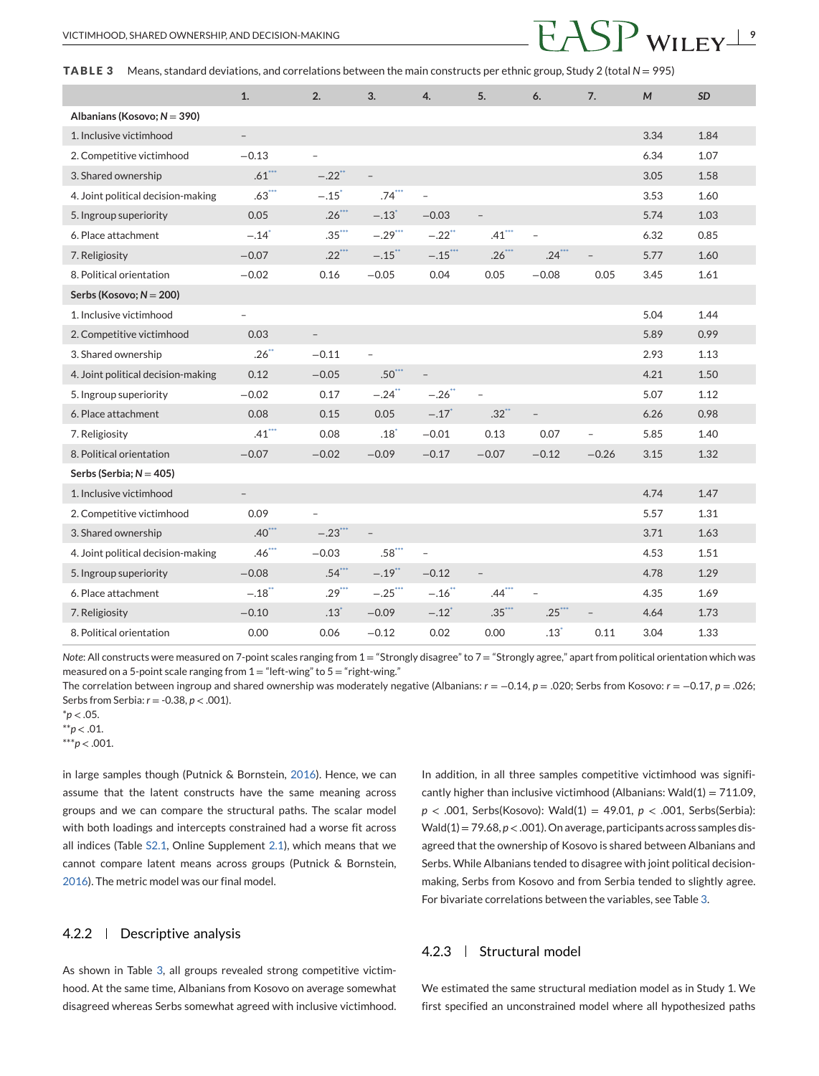**TABLE 3** Means, standard deviations, and correlations between the main constructs per ethnic group, Study 2 (total *N* = 995)

|                                    | 1.                       | 2.                       | 3.                       | 4.                       | 5.                       | 6.                       | 7.                       | M    | SD   |
|------------------------------------|--------------------------|--------------------------|--------------------------|--------------------------|--------------------------|--------------------------|--------------------------|------|------|
| Albanians (Kosovo; $N = 390$ )     |                          |                          |                          |                          |                          |                          |                          |      |      |
| 1. Inclusive victimhood            | $\overline{\phantom{a}}$ |                          |                          |                          |                          |                          |                          | 3.34 | 1.84 |
| 2. Competitive victimhood          | $-0.13$                  | $\qquad \qquad -$        |                          |                          |                          |                          |                          | 6.34 | 1.07 |
| 3. Shared ownership                | $.61***$                 | $-.22$ <sup>**</sup>     | $\overline{\phantom{a}}$ |                          |                          |                          |                          | 3.05 | 1.58 |
| 4. Joint political decision-making | $.63***$                 | $-.15$ <sup>*</sup>      | $.74***$                 | $\overline{\phantom{0}}$ |                          |                          |                          | 3.53 | 1.60 |
| 5. Ingroup superiority             | 0.05                     | $.26***$                 | $-.13$ <sup>*</sup>      | $-0.03$                  |                          |                          |                          | 5.74 | 1.03 |
| 6. Place attachment                | $-.14$ <sup>*</sup>      | $.35***$                 | $-.29***$                | $-.22$ <sup>**</sup>     | $.41***$                 | $\overline{a}$           |                          | 6.32 | 0.85 |
| 7. Religiosity                     | $-0.07$                  | $.22***$                 | $-.15$ **                | $-.15$ ***               | $.26***$                 | $.24***$                 | $\overline{\phantom{0}}$ | 5.77 | 1.60 |
| 8. Political orientation           | $-0.02$                  | 0.16                     | $-0.05$                  | 0.04                     | 0.05                     | $-0.08$                  | 0.05                     | 3.45 | 1.61 |
| Serbs (Kosovo; $N = 200$ )         |                          |                          |                          |                          |                          |                          |                          |      |      |
| 1. Inclusive victimhood            | $\overline{\phantom{a}}$ |                          |                          |                          |                          |                          |                          | 5.04 | 1.44 |
| 2. Competitive victimhood          | 0.03                     | $\overline{\phantom{a}}$ |                          |                          |                          |                          |                          | 5.89 | 0.99 |
| 3. Shared ownership                | $.26$ <sup>**</sup>      | $-0.11$                  | $\qquad \qquad -$        |                          |                          |                          |                          | 2.93 | 1.13 |
| 4. Joint political decision-making | 0.12                     | $-0.05$                  | $.50***$                 | $\overline{a}$           |                          |                          |                          | 4.21 | 1.50 |
| 5. Ingroup superiority             | $-0.02$                  | 0.17                     | $-.24$ <sup>**</sup>     | $-.26$ **                | L,                       |                          |                          | 5.07 | 1.12 |
| 6. Place attachment                | 0.08                     | 0.15                     | 0.05                     | $-.17$ <sup>*</sup>      | $.32**$                  | $\overline{\phantom{0}}$ |                          | 6.26 | 0.98 |
| 7. Religiosity                     | $.41***$                 | 0.08                     | $.18^*$                  | $-0.01$                  | 0.13                     | 0.07                     | $\overline{a}$           | 5.85 | 1.40 |
| 8. Political orientation           | $-0.07$                  | $-0.02$                  | $-0.09$                  | $-0.17$                  | $-0.07$                  | $-0.12$                  | $-0.26$                  | 3.15 | 1.32 |
| Serbs (Serbia; $N = 405$ )         |                          |                          |                          |                          |                          |                          |                          |      |      |
| 1. Inclusive victimhood            | $\qquad \qquad -$        |                          |                          |                          |                          |                          |                          | 4.74 | 1.47 |
| 2. Competitive victimhood          | 0.09                     | $\overline{\phantom{a}}$ |                          |                          |                          |                          |                          | 5.57 | 1.31 |
| 3. Shared ownership                | $.40***$                 | $-.23***$                | $\overline{\phantom{a}}$ |                          |                          |                          |                          | 3.71 | 1.63 |
| 4. Joint political decision-making | $.46***$                 | $-0.03$                  | $.58***$                 | $\overline{\phantom{0}}$ |                          |                          |                          | 4.53 | 1.51 |
| 5. Ingroup superiority             | $-0.08$                  | $.54***$                 | $-.19$ <sup>**</sup>     | $-0.12$                  | $\overline{\phantom{0}}$ |                          |                          | 4.78 | 1.29 |
| 6. Place attachment                | $-.18$ <sup>**</sup>     | $.29***$                 | $-.25$ ***               | $-.16$ <sup>**</sup>     | $.44***$                 | $\qquad \qquad -$        |                          | 4.35 | 1.69 |
| 7. Religiosity                     | $-0.10$                  | $.13*$                   | $-0.09$                  | $-.12$ <sup>*</sup>      | $.35***$                 | $.25***$                 | $\overline{\phantom{0}}$ | 4.64 | 1.73 |
| 8. Political orientation           | 0.00                     | 0.06                     | $-0.12$                  | 0.02                     | 0.00                     | $.13*$                   | 0.11                     | 3.04 | 1.33 |

*Note*: All constructs were measured on 7-point scales ranging from 1 = "Strongly disagree" to 7 = "Strongly agree," apart from political orientation which was measured on a 5-point scale ranging from  $1 =$  "left-wing" to  $5 =$  "right-wing."

The correlation between ingroup and shared ownership was moderately negative (Albanians: *r* = −0.14, *p* = .020; Serbs from Kosovo: *r* = −0.17, *p* = .026; Serbs from Serbia: *r* = -0.38, *p* < .001).

 $*p$  < .05.

\*\**p* < .01.

\*\*\**p* < .001.

in large samples though (Putnick & Bornstein, [2016\)](#page-13-0). Hence, we can assume that the latent constructs have the same meaning across groups and we can compare the structural paths. The scalar model with both loadings and intercepts constrained had a worse fit across all indices (Table S2.1, Online Supplement 2.1), which means that we cannot compare latent means across groups (Putnick & Bornstein, [2016\)](#page-13-0). The metric model was our final model.

### 4.2.2 Descriptive analysis

As shown in Table 3, all groups revealed strong competitive victimhood. At the same time, Albanians from Kosovo on average somewhat disagreed whereas Serbs somewhat agreed with inclusive victimhood.

In addition, in all three samples competitive victimhood was significantly higher than inclusive victimhood (Albanians: Wald( $1$ ) = 711.09, *p* < .001, Serbs(Kosovo): Wald(1) = 49.01, *p* < .001, Serbs(Serbia): Wald(1) = 79.68, *p* < .001). On average, participants across samples disagreed that the ownership of Kosovo is shared between Albanians and Serbs. While Albanians tended to disagree with joint political decisionmaking, Serbs from Kosovo and from Serbia tended to slightly agree. For bivariate correlations between the variables, see Table 3.

# 4.2.3 | Structural model

We estimated the same structural mediation model as in Study 1. We first specified an unconstrained model where all hypothesized paths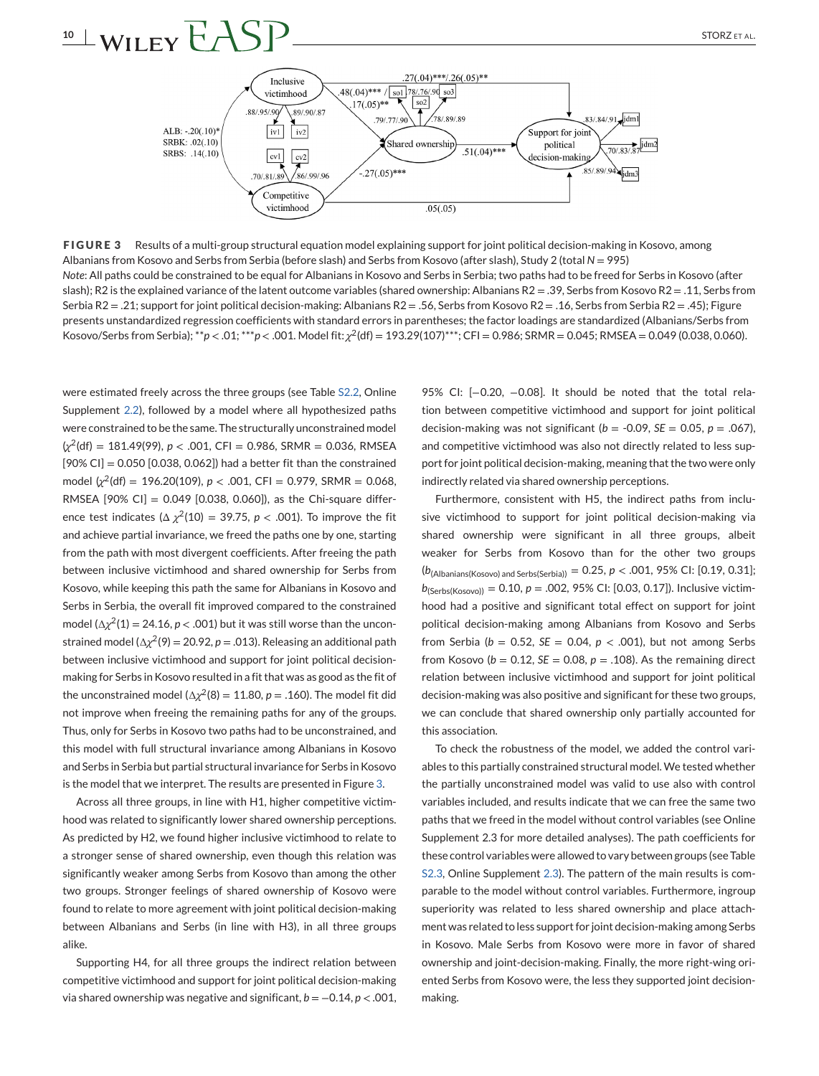# **10** WILEY  $FASP$  STORZETAL.



**FIGURE 3** Results of a multi-group structural equation model explaining support for joint political decision-making in Kosovo, among Albanians from Kosovo and Serbs from Serbia (before slash) and Serbs from Kosovo (after slash), Study 2 (total *N* = 995) *Note*: All paths could be constrained to be equal for Albanians in Kosovo and Serbs in Serbia; two paths had to be freed for Serbs in Kosovo (after slash); R2 is the explained variance of the latent outcome variables (shared ownership: Albanians R2 = .39, Serbs from Kosovo R2 = .11, Serbs from Serbia R2 = .21; support for joint political decision-making: Albanians R2 = .56, Serbs from Kosovo R2 = .16, Serbs from Serbia R2 = .45); Figure presents unstandardized regression coefficients with standard errors in parentheses; the factor loadings are standardized (Albanians/Serbs from Kosovo/Serbs from Serbia); \*\**p* < .01; \*\*\**p* < .001. Model fit: *χ*2(df) = 193.29(107)\*\*\*; CFI = 0.986; SRMR = 0.045; RMSEA = 0.049 (0.038, 0.060).

were estimated freely across the three groups (see Table S2.2, Online Supplement 2.2), followed by a model where all hypothesized paths were constrained to be the same. The structurally unconstrained model (*χ*2(df) = 181.49(99), *p* < .001, CFI = 0.986, SRMR = 0.036, RMSEA  $[90\%$  CI] = 0.050  $[0.038, 0.062]$ ) had a better fit than the constrained model  $\chi^2$ (df) = 196.20(109),  $p < .001$ , CFI = 0.979, SRMR = 0.068, RMSEA  $[90\% \text{ Cl}] = 0.049 \; [0.038, 0.060]$ , as the Chi-square difference test indicates ( $\Delta \chi^2(10) = 39.75$ ,  $p < .001$ ). To improve the fit and achieve partial invariance, we freed the paths one by one, starting from the path with most divergent coefficients. After freeing the path between inclusive victimhood and shared ownership for Serbs from Kosovo, while keeping this path the same for Albanians in Kosovo and Serbs in Serbia, the overall fit improved compared to the constrained model ( $\Delta \chi^2(1) = 24.16$ ,  $p < .001$ ) but it was still worse than the unconstrained model ( $\Delta \chi^2(9) = 20.92$ ,  $p = .013$ ). Releasing an additional path between inclusive victimhood and support for joint political decisionmaking for Serbs in Kosovo resulted in a fit that was as good as the fit of the unconstrained model ( $\Delta \chi^2(8) = 11.80$ ,  $p = .160$ ). The model fit did not improve when freeing the remaining paths for any of the groups. Thus, only for Serbs in Kosovo two paths had to be unconstrained, and this model with full structural invariance among Albanians in Kosovo and Serbs in Serbia but partial structural invariance for Serbs in Kosovo is the model that we interpret. The results are presented in Figure 3.

Across all three groups, in line with H1, higher competitive victimhood was related to significantly lower shared ownership perceptions. As predicted by H2, we found higher inclusive victimhood to relate to a stronger sense of shared ownership, even though this relation was significantly weaker among Serbs from Kosovo than among the other two groups. Stronger feelings of shared ownership of Kosovo were found to relate to more agreement with joint political decision-making between Albanians and Serbs (in line with H3), in all three groups alike.

Supporting H4, for all three groups the indirect relation between competitive victimhood and support for joint political decision-making via shared ownership was negative and significant, *b* = −0.14, *p* < .001,

95% CI: [-0.20, -0.08]. It should be noted that the total relation between competitive victimhood and support for joint political decision-making was not significant ( $b = -0.09$ ,  $SE = 0.05$ ,  $p = .067$ ), and competitive victimhood was also not directly related to less support for joint political decision-making, meaning that the two were only indirectly related via shared ownership perceptions.

Furthermore, consistent with H5, the indirect paths from inclusive victimhood to support for joint political decision-making via shared ownership were significant in all three groups, albeit weaker for Serbs from Kosovo than for the other two groups (*b*(Albanians(Kosovo) and Serbs(Serbia)) = 0.25, *p* < .001, 95% CI: [0.19, 0.31]; *b*(Serbs(Kosovo)) = 0.10, *p* = .002, 95% CI: [0.03, 0.17]). Inclusive victimhood had a positive and significant total effect on support for joint political decision-making among Albanians from Kosovo and Serbs from Serbia ( $b = 0.52$ ,  $SE = 0.04$ ,  $p < .001$ ), but not among Serbs from Kosovo ( $b = 0.12$ ,  $SE = 0.08$ ,  $p = .108$ ). As the remaining direct relation between inclusive victimhood and support for joint political decision-making was also positive and significant for these two groups, we can conclude that shared ownership only partially accounted for this association.

To check the robustness of the model, we added the control variables to this partially constrained structural model. We tested whether the partially unconstrained model was valid to use also with control variables included, and results indicate that we can free the same two paths that we freed in the model without control variables (see Online Supplement 2.3 for more detailed analyses). The path coefficients for these control variables were allowed to vary between groups (see Table S2.3, Online Supplement 2.3). The pattern of the main results is comparable to the model without control variables. Furthermore, ingroup superiority was related to less shared ownership and place attachment was related to less support for joint decision-making among Serbs in Kosovo. Male Serbs from Kosovo were more in favor of shared ownership and joint-decision-making. Finally, the more right-wing oriented Serbs from Kosovo were, the less they supported joint decisionmaking.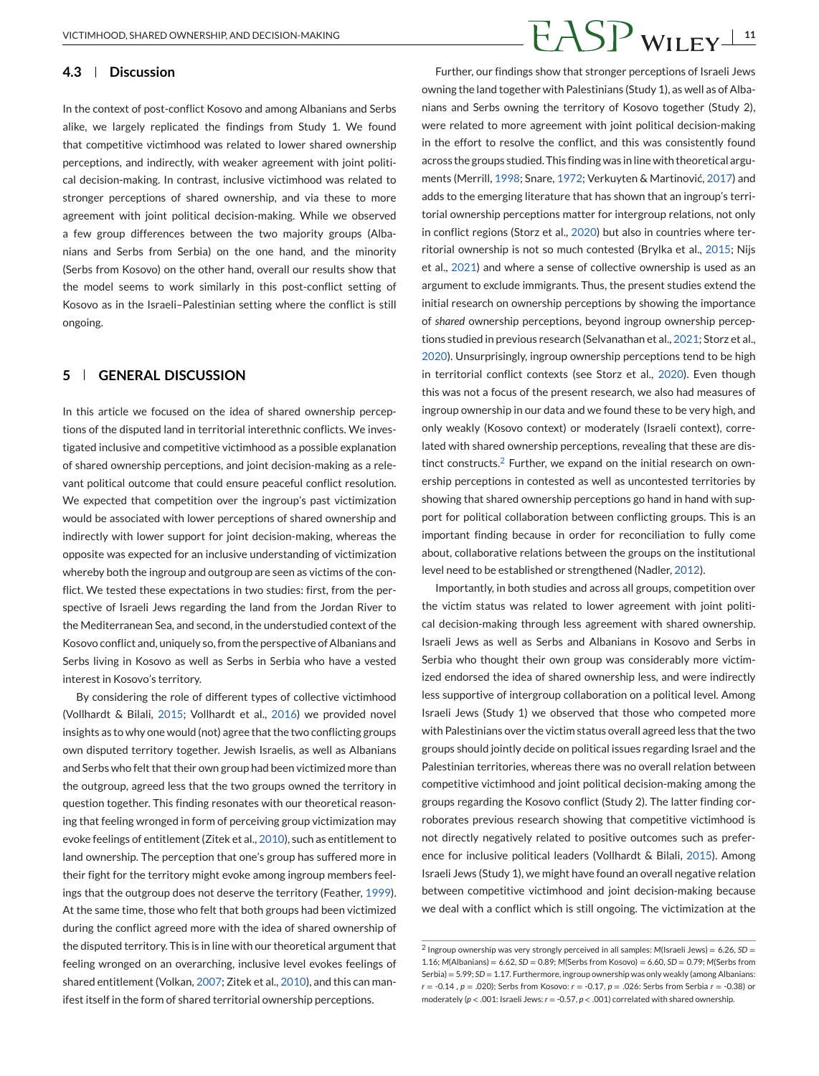#### **4.3 Discussion**

In the context of post-conflict Kosovo and among Albanians and Serbs alike, we largely replicated the findings from Study 1. We found that competitive victimhood was related to lower shared ownership perceptions, and indirectly, with weaker agreement with joint political decision-making. In contrast, inclusive victimhood was related to stronger perceptions of shared ownership, and via these to more agreement with joint political decision-making. While we observed a few group differences between the two majority groups (Albanians and Serbs from Serbia) on the one hand, and the minority (Serbs from Kosovo) on the other hand, overall our results show that the model seems to work similarly in this post-conflict setting of Kosovo as in the Israeli–Palestinian setting where the conflict is still ongoing.

### **5 GENERAL DISCUSSION**

In this article we focused on the idea of shared ownership perceptions of the disputed land in territorial interethnic conflicts. We investigated inclusive and competitive victimhood as a possible explanation of shared ownership perceptions, and joint decision-making as a relevant political outcome that could ensure peaceful conflict resolution. We expected that competition over the ingroup's past victimization would be associated with lower perceptions of shared ownership and indirectly with lower support for joint decision-making, whereas the opposite was expected for an inclusive understanding of victimization whereby both the ingroup and outgroup are seen as victims of the conflict. We tested these expectations in two studies: first, from the perspective of Israeli Jews regarding the land from the Jordan River to the Mediterranean Sea, and second, in the understudied context of the Kosovo conflict and, uniquely so, from the perspective of Albanians and Serbs living in Kosovo as well as Serbs in Serbia who have a vested interest in Kosovo's territory.

By considering the role of different types of collective victimhood (Vollhardt & Bilali, [2015;](#page-14-0) Vollhardt et al., [2016\)](#page-14-0) we provided novel insights as to why one would (not) agree that the two conflicting groups own disputed territory together. Jewish Israelis, as well as Albanians and Serbs who felt that their own group had been victimized more than the outgroup, agreed less that the two groups owned the territory in question together. This finding resonates with our theoretical reasoning that feeling wronged in form of perceiving group victimization may evoke feelings of entitlement (Zitek et al., [2010\)](#page-14-0), such as entitlement to land ownership. The perception that one's group has suffered more in their fight for the territory might evoke among ingroup members feelings that the outgroup does not deserve the territory (Feather, [1999\)](#page-12-0). At the same time, those who felt that both groups had been victimized during the conflict agreed more with the idea of shared ownership of the disputed territory. This is in line with our theoretical argument that feeling wronged on an overarching, inclusive level evokes feelings of shared entitlement (Volkan, [2007;](#page-14-0) Zitek et al., [2010\)](#page-14-0), and this can manifest itself in the form of shared territorial ownership perceptions.

# VICTIMHOOD, SHARED OWNERSHIP, AND DECISION-MAKING **11**

Further, our findings show that stronger perceptions of Israeli Jews owning the land together with Palestinians (Study 1), as well as of Albanians and Serbs owning the territory of Kosovo together (Study 2), were related to more agreement with joint political decision-making in the effort to resolve the conflict, and this was consistently found across the groups studied. This finding was in line with theoretical arguments (Merrill, [1998;](#page-13-0) Snare, [1972;](#page-13-0) Verkuyten & Martinović, [2017\)](#page-14-0) and adds to the emerging literature that has shown that an ingroup's territorial ownership perceptions matter for intergroup relations, not only in conflict regions (Storz et al., [2020\)](#page-13-0) but also in countries where territorial ownership is not so much contested (Brylka et al., [2015;](#page-12-0) Nijs et al., [2021\)](#page-13-0) and where a sense of collective ownership is used as an argument to exclude immigrants. Thus, the present studies extend the initial research on ownership perceptions by showing the importance of *shared* ownership perceptions, beyond ingroup ownership perceptions studied in previous research (Selvanathan et al., [2021;](#page-13-0) Storz et al., [2020\)](#page-13-0). Unsurprisingly, ingroup ownership perceptions tend to be high in territorial conflict contexts (see Storz et al., [2020\)](#page-13-0). Even though this was not a focus of the present research, we also had measures of ingroup ownership in our data and we found these to be very high, and only weakly (Kosovo context) or moderately (Israeli context), correlated with shared ownership perceptions, revealing that these are distinct constructs. $2$  Further, we expand on the initial research on ownership perceptions in contested as well as uncontested territories by showing that shared ownership perceptions go hand in hand with support for political collaboration between conflicting groups. This is an important finding because in order for reconciliation to fully come about, collaborative relations between the groups on the institutional level need to be established or strengthened (Nadler, [2012\)](#page-13-0).

Importantly, in both studies and across all groups, competition over the victim status was related to lower agreement with joint political decision-making through less agreement with shared ownership. Israeli Jews as well as Serbs and Albanians in Kosovo and Serbs in Serbia who thought their own group was considerably more victimized endorsed the idea of shared ownership less, and were indirectly less supportive of intergroup collaboration on a political level. Among Israeli Jews (Study 1) we observed that those who competed more with Palestinians over the victim status overall agreed less that the two groups should jointly decide on political issues regarding Israel and the Palestinian territories, whereas there was no overall relation between competitive victimhood and joint political decision-making among the groups regarding the Kosovo conflict (Study 2). The latter finding corroborates previous research showing that competitive victimhood is not directly negatively related to positive outcomes such as preference for inclusive political leaders (Vollhardt & Bilali, [2015\)](#page-14-0). Among Israeli Jews (Study 1), we might have found an overall negative relation between competitive victimhood and joint decision-making because we deal with a conflict which is still ongoing. The victimization at the

<sup>2</sup> Ingroup ownership was very strongly perceived in all samples: *M*(Israeli Jews) = 6.26, *SD* = 1.16; *M*(Albanians) = 6.62, *SD* = 0.89; *M*(Serbs from Kosovo) = 6.60, *SD* = 0.79; *M*(Serbs from Serbia) = 5.99; *SD* = 1.17. Furthermore, ingroup ownership was only weakly (among Albanians: *r* = -0.14 , *p* = .020); Serbs from Kosovo: *r* = -0.17, *p* = .026: Serbs from Serbia *r* = -0.38) or moderately (*p* < .001: Israeli Jews: *r* = -0.57, *p* < .001) correlated with shared ownership.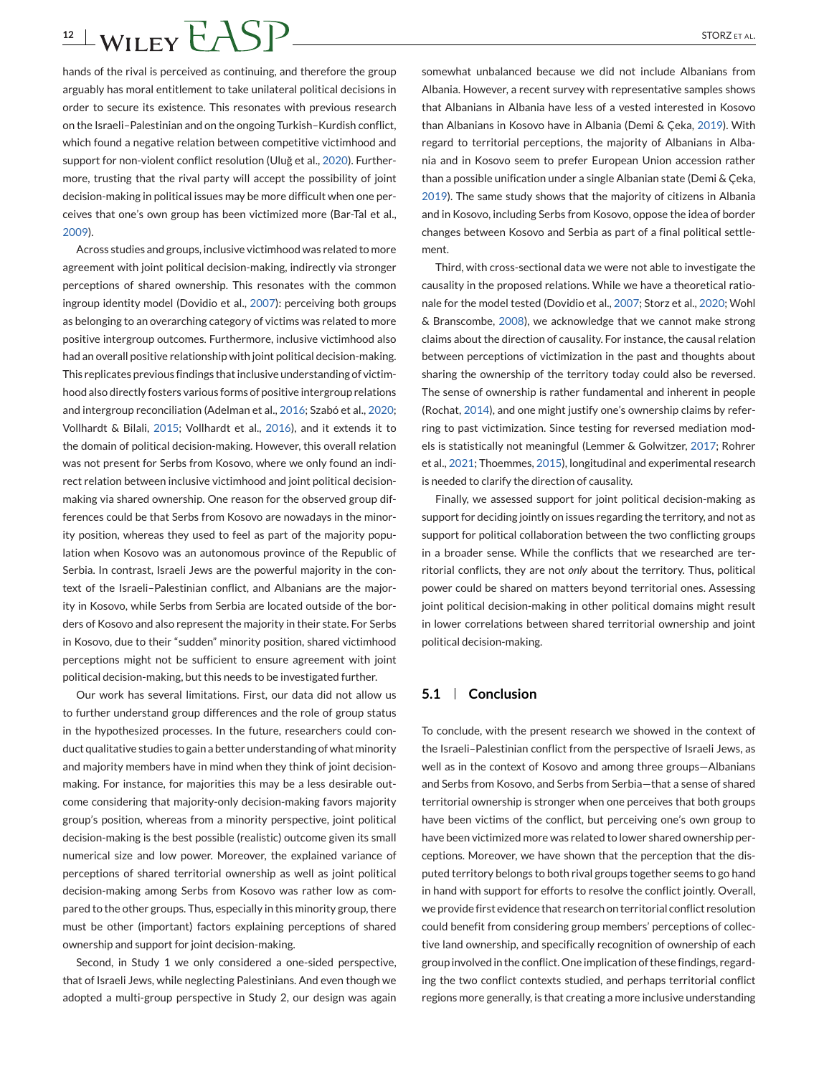# $12 \pm \text{WILEY}$   $FASP$  STORZETAL.

hands of the rival is perceived as continuing, and therefore the group arguably has moral entitlement to take unilateral political decisions in order to secure its existence. This resonates with previous research on the Israeli–Palestinian and on the ongoing Turkish–Kurdish conflict, which found a negative relation between competitive victimhood and support for non-violent conflict resolution (Uluğ et al., [2020\)](#page-13-0). Furthermore, trusting that the rival party will accept the possibility of joint decision-making in political issues may be more difficult when one perceives that one's own group has been victimized more (Bar-Tal et al., [2009\)](#page-12-0).

Across studies and groups, inclusive victimhood was related to more agreement with joint political decision-making, indirectly via stronger perceptions of shared ownership. This resonates with the common ingroup identity model (Dovidio et al., [2007\)](#page-12-0): perceiving both groups as belonging to an overarching category of victims was related to more positive intergroup outcomes. Furthermore, inclusive victimhood also had an overall positive relationship with joint political decision-making. This replicates previous findings that inclusive understanding of victimhood also directly fosters various forms of positive intergroup relations and intergroup reconciliation (Adelman et al., [2016;](#page-12-0) Szabó et al., [2020;](#page-13-0) Vollhardt & Bilali, [2015;](#page-14-0) Vollhardt et al., [2016\)](#page-14-0), and it extends it to the domain of political decision-making. However, this overall relation was not present for Serbs from Kosovo, where we only found an indirect relation between inclusive victimhood and joint political decisionmaking via shared ownership. One reason for the observed group differences could be that Serbs from Kosovo are nowadays in the minority position, whereas they used to feel as part of the majority population when Kosovo was an autonomous province of the Republic of Serbia. In contrast, Israeli Jews are the powerful majority in the context of the Israeli–Palestinian conflict, and Albanians are the majority in Kosovo, while Serbs from Serbia are located outside of the borders of Kosovo and also represent the majority in their state. For Serbs in Kosovo, due to their "sudden" minority position, shared victimhood perceptions might not be sufficient to ensure agreement with joint political decision-making, but this needs to be investigated further.

Our work has several limitations. First, our data did not allow us to further understand group differences and the role of group status in the hypothesized processes. In the future, researchers could conduct qualitative studies to gain a better understanding of what minority and majority members have in mind when they think of joint decisionmaking. For instance, for majorities this may be a less desirable outcome considering that majority-only decision-making favors majority group's position, whereas from a minority perspective, joint political decision-making is the best possible (realistic) outcome given its small numerical size and low power. Moreover, the explained variance of perceptions of shared territorial ownership as well as joint political decision-making among Serbs from Kosovo was rather low as compared to the other groups. Thus, especially in this minority group, there must be other (important) factors explaining perceptions of shared ownership and support for joint decision-making.

Second, in Study 1 we only considered a one-sided perspective, that of Israeli Jews, while neglecting Palestinians. And even though we adopted a multi-group perspective in Study 2, our design was again

somewhat unbalanced because we did not include Albanians from Albania. However, a recent survey with representative samples shows that Albanians in Albania have less of a vested interested in Kosovo than Albanians in Kosovo have in Albania (Demi & Çeka, [2019\)](#page-12-0). With regard to territorial perceptions, the majority of Albanians in Albania and in Kosovo seem to prefer European Union accession rather than a possible unification under a single Albanian state (Demi & Çeka, [2019\)](#page-12-0). The same study shows that the majority of citizens in Albania and in Kosovo, including Serbs from Kosovo, oppose the idea of border changes between Kosovo and Serbia as part of a final political settlement.

Third, with cross-sectional data we were not able to investigate the causality in the proposed relations. While we have a theoretical rationale for the model tested (Dovidio et al., [2007;](#page-12-0) Storz et al., [2020;](#page-13-0) Wohl & Branscombe, [2008\)](#page-14-0), we acknowledge that we cannot make strong claims about the direction of causality. For instance, the causal relation between perceptions of victimization in the past and thoughts about sharing the ownership of the territory today could also be reversed. The sense of ownership is rather fundamental and inherent in people (Rochat, [2014\)](#page-13-0), and one might justify one's ownership claims by referring to past victimization. Since testing for reversed mediation models is statistically not meaningful (Lemmer & Golwitzer, [2017;](#page-13-0) Rohrer et al., [2021;](#page-13-0) Thoemmes, [2015\)](#page-13-0), longitudinal and experimental research is needed to clarify the direction of causality.

Finally, we assessed support for joint political decision-making as support for deciding jointly on issues regarding the territory, and not as support for political collaboration between the two conflicting groups in a broader sense. While the conflicts that we researched are territorial conflicts, they are not *only* about the territory. Thus, political power could be shared on matters beyond territorial ones. Assessing joint political decision-making in other political domains might result in lower correlations between shared territorial ownership and joint political decision-making.

### **5.1 Conclusion**

To conclude, with the present research we showed in the context of the Israeli–Palestinian conflict from the perspective of Israeli Jews, as well as in the context of Kosovo and among three groups—Albanians and Serbs from Kosovo, and Serbs from Serbia—that a sense of shared territorial ownership is stronger when one perceives that both groups have been victims of the conflict, but perceiving one's own group to have been victimized more was related to lower shared ownership perceptions. Moreover, we have shown that the perception that the disputed territory belongs to both rival groups together seems to go hand in hand with support for efforts to resolve the conflict jointly. Overall, we provide first evidence that research on territorial conflict resolution could benefit from considering group members' perceptions of collective land ownership, and specifically recognition of ownership of each group involved in the conflict. One implication of these findings, regarding the two conflict contexts studied, and perhaps territorial conflict regions more generally, is that creating a more inclusive understanding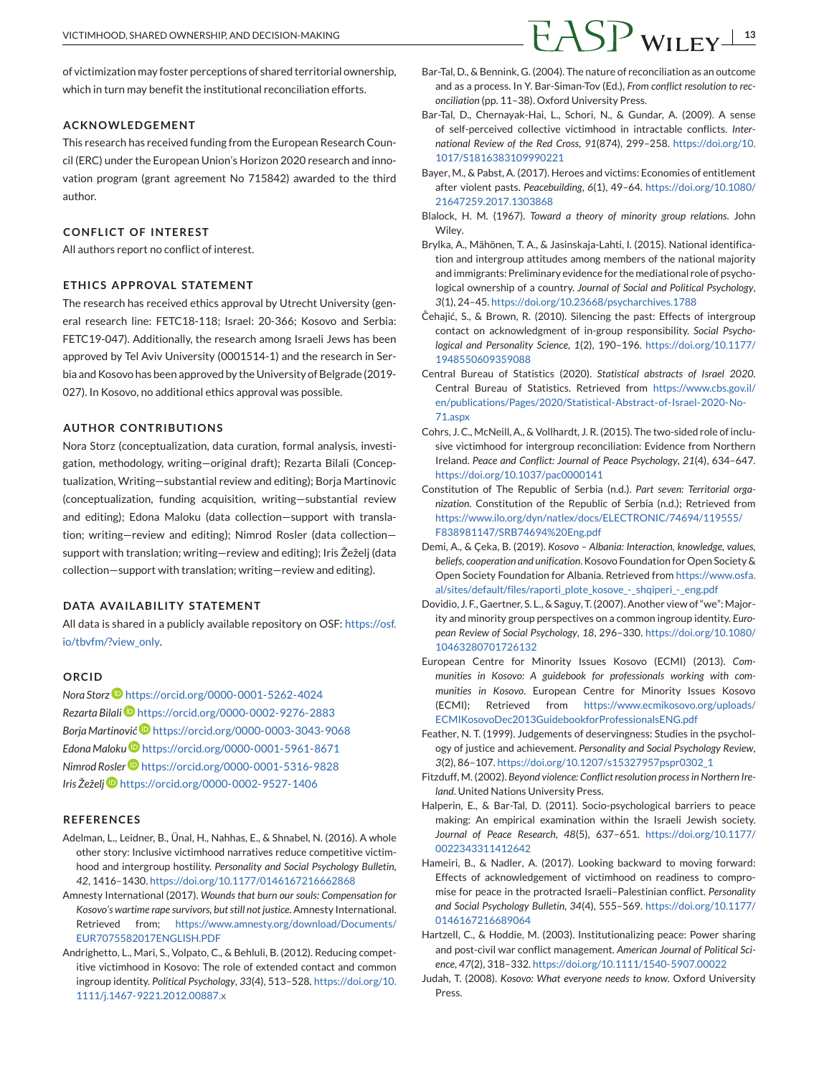<span id="page-12-0"></span>of victimization may foster perceptions of shared territorial ownership, which in turn may benefit the institutional reconciliation efforts.

#### **ACKNOWLEDGEMENT**

This research has received funding from the European Research Council (ERC) under the European Union's Horizon 2020 research and innovation program (grant agreement No 715842) awarded to the third author.

#### **CONFLICT OF INTEREST**

All authors report no conflict of interest.

### **ETH ICS APPROVAL STATEMENT**

The research has received ethics approval by Utrecht University (general research line: FETC18-118; Israel: 20-366; Kosovo and Serbia: FETC19-047). Additionally, the research among Israeli Jews has been approved by Tel Aviv University (0001514-1) and the research in Serbia and Kosovo has been approved by the University of Belgrade (2019- 027). In Kosovo, no additional ethics approval was possible.

### **AUTHOR CONTRIBUTIONS**

Nora Storz (conceptualization, data curation, formal analysis, investigation, methodology, writing—original draft); Rezarta Bilali (Conceptualization, Writing—substantial review and editing); Borja Martinovic (conceptualization, funding acquisition, writing—substantial review and editing); Edona Maloku (data collection—support with translation; writing—review and editing); Nimrod Rosler (data collection support with translation; writing—review and editing); Iris Žeželj (data collection—support with translation; writing—review and editing).

### **DATA AVAILABILITY STATEMENT**

All data is shared in a publicly available repository on OSF: [https://osf.](https://osf.io/tbvfm/?view_only) [io/tbvfm/?view\\_only.](https://osf.io/tbvfm/?view_only)

#### **ORCID**

*Nora Storz* <https://orcid.org/0000-0001-5262-4024> *Rezarta Bilali* <https://orcid.org/0000-0002-9276-2883> *Borja Martinović* <https://orcid.org/0000-0003-3043-9068> *Edona Malok[u](https://orcid.org/0000-0001-5961-8671)* <https://orcid.org/0000-0001-5961-8671> *Nimrod Rosler* <https://orcid.org/0000-0001-5316-9828> *Iris Žeželj* <https://orcid.org/0000-0002-9527-1406>

### **REFERENCES**

- Adelman, L., Leidner, B., Ünal, H., Nahhas, E., & Shnabel, N. (2016). A whole other story: Inclusive victimhood narratives reduce competitive victimhood and intergroup hostility. *Personality and Social Psychology Bulletin*, *42*, 1416–1430. <https://doi.org/10.1177/0146167216662868>
- Amnesty International (2017). *Wounds that burn our souls: Compensation for Kosovo's wartime rape survivors, but still not justice*. Amnesty International. Retrieved from; [https://www.amnesty.org/download/Documents/](https://www.amnesty.org/download/Documents/EUR7075582017ENGLISH.PDF) [EUR7075582017ENGLISH.PDF](https://www.amnesty.org/download/Documents/EUR7075582017ENGLISH.PDF)
- Andrighetto, L., Mari, S., Volpato, C., & Behluli, B. (2012). Reducing competitive victimhood in Kosovo: The role of extended contact and common ingroup identity. *Political Psychology*, *33*(4), 513–528. [https://doi.org/10.](https://doi.org/10.1111/j.1467-9221.2012.00887.x) [1111/j.1467-9221.2012.00887.x](https://doi.org/10.1111/j.1467-9221.2012.00887.x)
- Bar-Tal, D., & Bennink, G. (2004). The nature of reconciliation as an outcome and as a process. In Y. Bar-Siman-Tov (Ed.), *From conflict resolution to reconciliation* (pp. 11–38). Oxford University Press.
- Bar-Tal, D., Chernayak-Hai, L., Schori, N., & Gundar, A. (2009). A sense of self-perceived collective victimhood in intractable conflicts. *International Review of the Red Cross*, *91*(874), 299–258. [https://doi.org/10.](https://doi.org/10.1017/S1816383109990221) [1017/S1816383109990221](https://doi.org/10.1017/S1816383109990221)
- Bayer, M., & Pabst, A. (2017). Heroes and victims: Economies of entitlement after violent pasts. *Peacebuilding*, *6*(1), 49–64. [https://doi.org/10.1080/](https://doi.org/10.1080/21647259.2017.1303868) [21647259.2017.1303868](https://doi.org/10.1080/21647259.2017.1303868)
- Blalock, H. M. (1967). *Toward a theory of minority group relations*. John Wiley.
- Brylka, A., Mähönen, T. A., & Jasinskaja-Lahti, I. (2015). National identification and intergroup attitudes among members of the national majority and immigrants: Preliminary evidence for the mediational role of psychological ownership of a country. *Journal of Social and Political Psychology*, *3*(1), 24–45. [https://doi.org/10.23668/psycharchives.1788](https://10.23668/psycharchives.1788)
- Čehajić, S., & Brown, R. (2010). Silencing the past: Effects of intergroup contact on acknowledgment of in-group responsibility. *Social Psychological and Personality Science*, *1*(2), 190–196. [https://doi.org/10.1177/](https://doi.org/10.1177/1948550609359088) [1948550609359088](https://doi.org/10.1177/1948550609359088)
- Central Bureau of Statistics (2020). *Statistical abstracts of Israel 2020*. Central Bureau of Statistics. Retrieved from [https://www.cbs.gov.il/](https://www.cbs.gov.il/en/publications/Pages/2020/Statistical-Abstract-of-Israel-2020-No-71.aspx) [en/publications/Pages/2020/Statistical-Abstract-of-Israel-2020-No-](https://www.cbs.gov.il/en/publications/Pages/2020/Statistical-Abstract-of-Israel-2020-No-71.aspx)[71.aspx](https://www.cbs.gov.il/en/publications/Pages/2020/Statistical-Abstract-of-Israel-2020-No-71.aspx)
- Cohrs, J. C., McNeill, A., & Vollhardt, J. R. (2015). The two-sided role of inclusive victimhood for intergroup reconciliation: Evidence from Northern Ireland. *Peace and Conflict: Journal of Peace Psychology*, *21*(4), 634–647. <https://doi.org/10.1037/pac0000141>
- Constitution of The Republic of Serbia (n.d.). *Part seven: Territorial organization*. Constitution of the Republic of Serbia (n.d.); Retrieved from [https://www.ilo.org/dyn/natlex/docs/ELECTRONIC/74694/119555/](https://www.ilo.org/dyn/natlex/docs/ELECTRONIC/74694/119555/F838981147/SRB74694%20Eng.pdf) [F838981147/SRB74694%20Eng.pdf](https://www.ilo.org/dyn/natlex/docs/ELECTRONIC/74694/119555/F838981147/SRB74694%20Eng.pdf)
- Demi, A., & Çeka, B. (2019). *Kosovo Albania: Interaction, knowledge, values, beliefs, cooperation and unification*. Kosovo Foundation for Open Society & Open Society Foundation for Albania. Retrieved from [https://www.osfa.](https://www.osfa.al/sites/default/files/raporti_plote_kosove_-_shqiperi_-_eng.pdf) [al/sites/default/files/raporti\\_plote\\_kosove\\_-\\_shqiperi\\_-\\_eng.pdf](https://www.osfa.al/sites/default/files/raporti_plote_kosove_-_shqiperi_-_eng.pdf)
- Dovidio, J. F., Gaertner, S. L., & Saguy, T. (2007). Another view of "we": Majority and minority group perspectives on a common ingroup identity. *European Review of Social Psychology*, *18*, 296–330. [https://doi.org/10.1080/](https://doi.org/10.1080/10463280701726132) [10463280701726132](https://doi.org/10.1080/10463280701726132)
- European Centre for Minority Issues Kosovo (ECMI) (2013). *Communities in Kosovo: A guidebook for professionals working with communities in Kosovo*. European Centre for Minority Issues Kosovo (ECMI); Retrieved from [https://www.ecmikosovo.org/uploads/](https://www.ecmikosovo.org/uploads/ECMIKosovoDec2013GuidebookforProfessionalsENG.pdf) [ECMIKosovoDec2013GuidebookforProfessionalsENG.pdf](https://www.ecmikosovo.org/uploads/ECMIKosovoDec2013GuidebookforProfessionalsENG.pdf)
- Feather, N. T. (1999). Judgements of deservingness: Studies in the psychology of justice and achievement. *Personality and Social Psychology Review*, *3*(2), 86–107. [https://doi.org/10.1207/s15327957pspr0302\\_1](https://doi.org/10.1207/s15327957pspr0302_1)
- Fitzduff, M. (2002). *Beyond violence: Conflict resolution process in Northern Ireland*. United Nations University Press.
- Halperin, E., & Bar-Tal, D. (2011). Socio-psychological barriers to peace making: An empirical examination within the Israeli Jewish society. *Journal of Peace Research*, *48*(5), 637–651. [https://doi.org/10.1177/](https://doi.org/10.1177/0022343311412642) [0022343311412642](https://doi.org/10.1177/0022343311412642)
- Hameiri, B., & Nadler, A. (2017). Looking backward to moving forward: Effects of acknowledgement of victimhood on readiness to compromise for peace in the protracted Israeli–Palestinian conflict. *Personality and Social Psychology Bulletin*, *34*(4), 555–569. [https://doi.org/10.1177/](https://doi.org/10.1177/0146167216689064) [0146167216689064](https://doi.org/10.1177/0146167216689064)
- Hartzell, C., & Hoddie, M. (2003). Institutionalizing peace: Power sharing and post-civil war conflict management. *American Journal of Political Science*, *47*(2), 318–332. <https://doi.org/10.1111/1540-5907.00022>
- Judah, T. (2008). *Kosovo: What everyone needs to know*. Oxford University Press.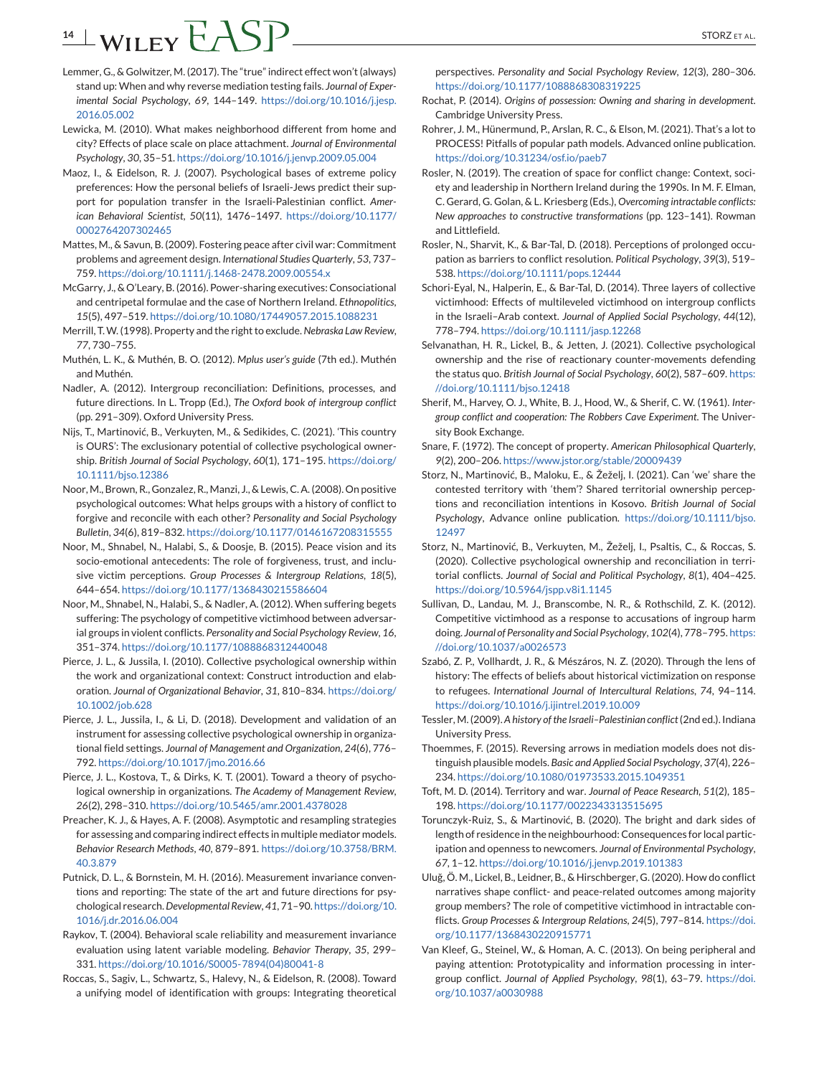# <span id="page-13-0"></span>**14** WILEY CASP

- Lemmer, G., & Golwitzer, M. (2017). The "true" indirect effect won't (always) stand up: When and why reverse mediation testing fails. *Journal of Experimental Social Psychology*, *69*, 144–149. [https://doi.org/10.1016/j.jesp.](https://doi.org/10.1016/j.jesp.2016.05.002) [2016.05.002](https://doi.org/10.1016/j.jesp.2016.05.002)
- Lewicka, M. (2010). What makes neighborhood different from home and city? Effects of place scale on place attachment. *Journal of Environmental Psychology*, *30*, 35–51. <https://doi.org/10.1016/j.jenvp.2009.05.004>
- Maoz, I., & Eidelson, R. J. (2007). Psychological bases of extreme policy preferences: How the personal beliefs of Israeli-Jews predict their support for population transfer in the Israeli-Palestinian conflict. *American Behavioral Scientist*, *50*(11), 1476–1497. [https://doi.org/10.1177/](https://doi.org/10.1177/0002764207302465) [0002764207302465](https://doi.org/10.1177/0002764207302465)
- Mattes, M., & Savun, B. (2009). Fostering peace after civil war: Commitment problems and agreement design. *International Studies Quarterly*, *53*, 737– 759. <https://doi.org/10.1111/j.1468-2478.2009.00554.x>
- McGarry, J., & O'Leary, B. (2016). Power-sharing executives: Consociational and centripetal formulae and the case of Northern Ireland. *Ethnopolitics*, *15*(5), 497–519. <https://doi.org/10.1080/17449057.2015.1088231>
- Merrill, T.W. (1998). Property and the right to exclude.*Nebraska Law Review*, *77*, 730–755.
- Muthén, L. K., & Muthén, B. O. (2012). *Mplus user's guide* (7th ed.). Muthén and Muthén.
- Nadler, A. (2012). Intergroup reconciliation: Definitions, processes, and future directions. In L. Tropp (Ed.), *The Oxford book of intergroup conflict* (pp. 291–309). Oxford University Press.
- Nijs, T., Martinović, B., Verkuyten, M., & Sedikides, C. (2021). 'This country is OURS': The exclusionary potential of collective psychological ownership. *British Journal of Social Psychology*, *60*(1), 171–195. [https://doi.org/](https://doi.org/10.1111/bjso.12386) [10.1111/bjso.12386](https://doi.org/10.1111/bjso.12386)
- Noor, M., Brown, R., Gonzalez, R., Manzi, J., & Lewis, C. A. (2008). On positive psychological outcomes: What helps groups with a history of conflict to forgive and reconcile with each other? *Personality and Social Psychology Bulletin*, *34*(6), 819–832. <https://doi.org/10.1177/0146167208315555>
- Noor, M., Shnabel, N., Halabi, S., & Doosje, B. (2015). Peace vision and its socio-emotional antecedents: The role of forgiveness, trust, and inclusive victim perceptions. *Group Processes & Intergroup Relations*, *18*(5), 644–654. <https://doi.org/10.1177/1368430215586604>
- Noor, M., Shnabel, N., Halabi, S., & Nadler, A. (2012). When suffering begets suffering: The psychology of competitive victimhood between adversarial groups in violent conflicts. *Personality and Social Psychology Review*, *16*, 351–374. <https://doi.org/10.1177/1088868312440048>
- Pierce, J. L., & Jussila, I. (2010). Collective psychological ownership within the work and organizational context: Construct introduction and elaboration. *Journal of Organizational Behavior*, *31*, 810–834. [https://doi.org/](https://doi.org/10.1002/job.628) [10.1002/job.628](https://doi.org/10.1002/job.628)
- Pierce, J. L., Jussila, I., & Li, D. (2018). Development and validation of an instrument for assessing collective psychological ownership in organizational field settings. *Journal of Management and Organization*, *24*(6), 776– 792. <https://doi.org/10.1017/jmo.2016.66>
- Pierce, J. L., Kostova, T., & Dirks, K. T. (2001). Toward a theory of psychological ownership in organizations. *The Academy of Management Review*, *26*(2), 298–310. <https://doi.org/10.5465/amr.2001.4378028>
- Preacher, K. J., & Hayes, A. F. (2008). Asymptotic and resampling strategies for assessing and comparing indirect effects in multiple mediator models. *Behavior Research Methods*, *40*, 879–891. [https://doi.org/10.3758/BRM.](https://doi.org/10.3758/BRM.40.3.879) [40.3.879](https://doi.org/10.3758/BRM.40.3.879)
- Putnick, D. L., & Bornstein, M. H. (2016). Measurement invariance conventions and reporting: The state of the art and future directions for psychological research.*Developmental Review*, *41*, 71–90. [https://doi.org/10.](https://doi.org/10.1016/j.dr.2016.06.004) [1016/j.dr.2016.06.004](https://doi.org/10.1016/j.dr.2016.06.004)
- Raykov, T. (2004). Behavioral scale reliability and measurement invariance evaluation using latent variable modeling. *Behavior Therapy*, *35*, 299– 331. [https://doi.org/10.1016/S0005-7894\(04\)80041-8](https://doi.org/10.1016/S0005-7894(04)80041-8)
- Roccas, S., Sagiv, L., Schwartz, S., Halevy, N., & Eidelson, R. (2008). Toward a unifying model of identification with groups: Integrating theoretical

perspectives. *Personality and Social Psychology Review*, *12*(3), 280–306. <https://doi.org/10.1177/1088868308319225>

- Rochat, P. (2014). *Origins of possession: Owning and sharing in development*. Cambridge University Press.
- Rohrer, J. M., Hünermund, P., Arslan, R. C., & Elson, M. (2021). That's a lot to PROCESS! Pitfalls of popular path models. Advanced online publication. <https://doi.org/10.31234/osf.io/paeb7>
- Rosler, N. (2019). The creation of space for conflict change: Context, society and leadership in Northern Ireland during the 1990s. In M. F. Elman, C. Gerard, G. Golan, & L. Kriesberg (Eds.), *Overcoming intractable conflicts: New approaches to constructive transformations* (pp. 123–141). Rowman and Littlefield.
- Rosler, N., Sharvit, K., & Bar-Tal, D. (2018). Perceptions of prolonged occupation as barriers to conflict resolution. *Political Psychology*, *39*(3), 519– 538. <https://doi.org/10.1111/pops.12444>
- Schori-Eyal, N., Halperin, E., & Bar-Tal, D. (2014). Three layers of collective victimhood: Effects of multileveled victimhood on intergroup conflicts in the Israeli–Arab context. *Journal of Applied Social Psychology*, *44*(12), 778–794. <https://doi.org/10.1111/jasp.12268>
- Selvanathan, H. R., Lickel, B., & Jetten, J. (2021). Collective psychological ownership and the rise of reactionary counter-movements defending the status quo. *British Journal of Social Psychology*, *60*(2), 587–609. [https:](https://doi.org/10.1111/bjso.12418) [//doi.org/10.1111/bjso.12418](https://doi.org/10.1111/bjso.12418)
- Sherif, M., Harvey, O. J., White, B. J., Hood, W., & Sherif, C. W. (1961). *Intergroup conflict and cooperation: The Robbers Cave Experiment*. The University Book Exchange.
- Snare, F. (1972). The concept of property. *American Philosophical Quarterly*, *9*(2), 200–206. <https://www.jstor.org/stable/20009439>
- Storz, N., Martinović, B., Maloku, E., & Žeželj, I. (2021). Can 'we' share the contested territory with 'them'? Shared territorial ownership perceptions and reconciliation intentions in Kosovo. *British Journal of Social Psychology*, Advance online publication. [https://doi.org/10.1111/bjso.](https://doi.org/10.1111/bjso.12497) [12497](https://doi.org/10.1111/bjso.12497)
- Storz, N., Martinović, B., Verkuyten, M., Žeželj, I., Psaltis, C., & Roccas, S. (2020). Collective psychological ownership and reconciliation in territorial conflicts. *Journal of Social and Political Psychology*, *8*(1), 404–425. <https://doi.org/10.5964/jspp.v8i1.1145>
- Sullivan, D., Landau, M. J., Branscombe, N. R., & Rothschild, Z. K. (2012). Competitive victimhood as a response to accusations of ingroup harm doing. *Journal of Personality and Social Psychology*, *102*(4), 778–795. [https:](https://doi.org/10.1037/a0026573) [//doi.org/10.1037/a0026573](https://doi.org/10.1037/a0026573)
- Szabó, Z. P., Vollhardt, J. R., & Mészáros, N. Z. (2020). Through the lens of history: The effects of beliefs about historical victimization on response to refugees. *International Journal of Intercultural Relations*, *74*, 94–114. <https://doi.org/10.1016/j.ijintrel.2019.10.009>
- Tessler, M. (2009). *A history of the Israeli–Palestinian conflict*(2nd ed.). Indiana University Press.
- Thoemmes, F. (2015). Reversing arrows in mediation models does not distinguish plausible models. *Basic and Applied Social Psychology*, *37*(4), 226– 234. <https://doi.org/10.1080/01973533.2015.1049351>
- Toft, M. D. (2014). Territory and war. *Journal of Peace Research*, *51*(2), 185– 198. <https://doi.org/10.1177/0022343313515695>
- Torunczyk-Ruiz, S., & Martinović, B. (2020). The bright and dark sides of length of residence in the neighbourhood: Consequences for local participation and openness to newcomers. *Journal of Environmental Psychology*, *67*, 1–12. <https://doi.org/10.1016/j.jenvp.2019.101383>
- Ulug, Ö. M., Lickel, B., Leidner, B., & Hirschberger, G. (2020). How do conflict ˘ narratives shape conflict- and peace-related outcomes among majority group members? The role of competitive victimhood in intractable conflicts. *Group Processes & Intergroup Relations*, *24*(5), 797–814. [https://doi.](https://doi.org/10.1177/1368430220915771) [org/10.1177/1368430220915771](https://doi.org/10.1177/1368430220915771)
- Van Kleef, G., Steinel, W., & Homan, A. C. (2013). On being peripheral and paying attention: Prototypicality and information processing in intergroup conflict. *Journal of Applied Psychology*, *98*(1), 63–79. [https://doi.](https://doi.org/10.1037/a0030988) [org/10.1037/a0030988](https://doi.org/10.1037/a0030988)